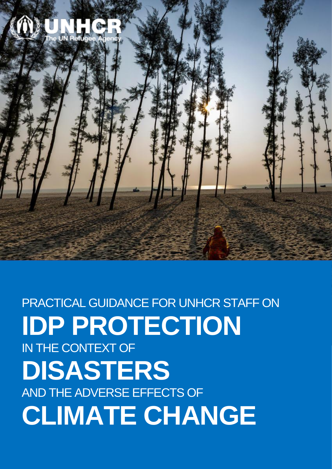

**Table of Contents CLIMATE CHANGE**PRACTICAL GUIDANCE FOR UNHCR STAFF ON **IDP PROTECTION**  IN THE CONTEXT OF **DISASTERS** AND THE ADVERSE EFFECTS OF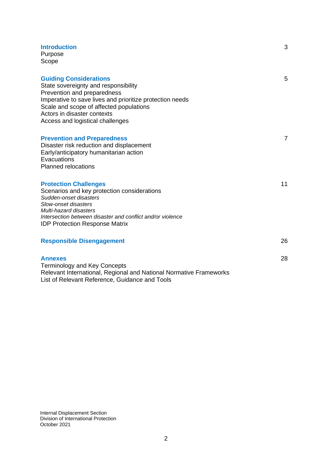| <b>Introduction</b><br>Purpose<br>Scope                                                                                                                                                                                                                                        | 3              |
|--------------------------------------------------------------------------------------------------------------------------------------------------------------------------------------------------------------------------------------------------------------------------------|----------------|
| <b>Guiding Considerations</b><br>State sovereignty and responsibility<br>Prevention and preparedness<br>Imperative to save lives and prioritize protection needs<br>Scale and scope of affected populations<br>Actors in disaster contexts<br>Access and logistical challenges | 5              |
| <b>Prevention and Preparedness</b><br>Disaster risk reduction and displacement<br>Early/anticipatory humanitarian action<br>Evacuations<br><b>Planned relocations</b>                                                                                                          | $\overline{7}$ |
| <b>Protection Challenges</b><br>Scenarios and key protection considerations<br>Sudden-onset disasters<br>Slow-onset disasters<br>Multi-hazard disasters<br>Intersection between disaster and conflict and/or violence<br><b>IDP Protection Response Matrix</b>                 | 11             |
| <b>Responsible Disengagement</b>                                                                                                                                                                                                                                               | 26             |
| <b>Annexes</b><br><b>Terminology and Key Concepts</b><br>Relevant International, Regional and National Normative Frameworks<br>List of Relevant Reference, Guidance and Tools                                                                                                  | 28             |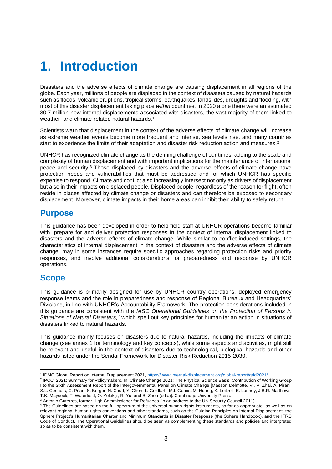# **1. Introduction**

Disasters and the adverse effects of climate change are causing displacement in all regions of the globe. Each year, millions of people are displaced in the context of disasters caused by natural hazards such as floods, volcanic eruptions, tropical storms, earthquakes, landslides, droughts and flooding, with most of this disaster displacement taking place *within* countries. In 2020 alone there were an estimated 30.7 million new internal displacements associated with disasters, the vast majority of them linked to weather- and climate-related natural hazards.<sup>1</sup>

Scientists warn that displacement in the context of the adverse effects of climate change will increase as extreme weather events become more frequent and intense, sea levels rise, and many countries start to experience the limits of their adaptation and disaster risk reduction action and measures.<sup>2</sup>

UNHCR has recognized climate change as the defining challenge of our times, adding to the scale and complexity of human displacement and with important implications for the maintenance of international peace and security.<sup>3</sup> Those displaced by disasters and the adverse effects of climate change have protection needs and vulnerabilities that must be addressed and for which UNHCR has specific expertise to respond. Climate and conflict also increasingly intersect not only as drivers of displacement but also in their impacts on displaced people. Displaced people, regardless of the reason for flight, often reside in places affected by climate change or disasters and can therefore be exposed to secondary displacement. Moreover, climate impacts in their home areas can inhibit their ability to safely return.

## **Purpose**

This guidance has been developed in order to help field staff at UNHCR operations become familiar with, prepare for and deliver protection responses in the context of internal displacement linked to disasters and the adverse effects of climate change. While similar to conflict-induced settings, the characteristics of internal displacement in the context of disasters and the adverse effects of climate change, may in some instances require specific approaches regarding protection risks and priority responses, and involve additional considerations for preparedness and response by UNHCR operations.

## **Scope**

This guidance is primarily designed for use by UNHCR country operations, deployed emergency response teams and the role in preparedness and response of Regional Bureaux and Headquarters' Divisions, in line with UNHCR's Accountability Framework. The protection considerations included in this guidance are consistent with the *IASC Operational Guidelines on the Protection of Persons in Situations of Natural Disasters,<sup>4</sup>* which spell out key principles for humanitarian action in situations of disasters linked to natural hazards.

This guidance mainly focuses on disasters due to natural hazards, including the impacts of climate change (see annex 1 for terminology and key concepts), while some aspects and activities, might still be relevant and useful in the context of disasters due to technological, biological hazards and other hazards listed under the Sendai Framework for Disaster Risk Reduction 2015-2030.

<sup>1</sup> IDMC Global Report on Internal Displacement 2021,<https://www.internal-displacement.org/global-report/grid2021/>

<sup>2</sup> IPCC, 2021: Summary for Policymakers. In: Climate Change 2021: The Physical Science Basis. Contribution of Working Group I to the Sixth Assessment Report of the Intergovernmental Panel on Climate Change [Masson Delmotte, V., P. Zhai, A. Pirani, S.L. Connors, C. Péan, S. Berger, N. Caud, Y. Chen, L. Goldfarb, M.I. Gomis, M. Huang, K. Leitzell, E. Lonnoy, J.B.R. Matthews, T.K. Maycock, T. Waterfield, O. Yelekçi, R. Yu, and B. Zhou (eds.)]. Cambridge University Press.

<sup>&</sup>lt;sup>3</sup> Antonio Guterres, former High Commissioner for Refugees (in an address to the UN Security Council 2011)

<sup>4</sup> The Guidelines are based on the full spectrum of the universal human rights instruments, as far as appropriate, as well as on relevant regional human rights conventions and other standards, such as the Guiding Principles on Internal Displacement, the Sphere Project's Humanitarian Charter and Minimum Standards in Disaster Response (the Sphere Handbook), and the IFRC Code of Conduct. The Operational Guidelines should be seen as complementing these standards and policies and interpreted so as to be consistent with them.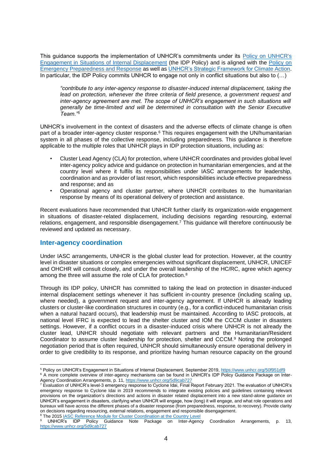This guidance supports the implementation of UNHCR's commitments under its [Policy on UNHCR's](https://cms.emergency.unhcr.org/documents/11982/363259/UNHCR+HCP+2019+1+Policy+on+UNHCR%27s+Engagement+in+Situations+of+Internal+Displacement/b353acfa-8aae-426e-9d48-9a9794b9e444)  [Engagement in Situations of Internal Displacement](https://cms.emergency.unhcr.org/documents/11982/363259/UNHCR+HCP+2019+1+Policy+on+UNHCR%27s+Engagement+in+Situations+of+Internal+Displacement/b353acfa-8aae-426e-9d48-9a9794b9e444) (the IDP Policy) and is aligned with the [Policy on](https://emergency.unhcr.org/entry/408136/preparedness-package-for-idp-emergencies-ppie)  [Emergency Preparedness and Response](https://emergency.unhcr.org/entry/408136/preparedness-package-for-idp-emergencies-ppie) as well as [UNHCR's Strategic Framework for Climate Action.](https://www.unhcr.org/604a26d84.pdf) In particular, the IDP Policy commits UNHCR to engage not only in conflict situations but also to (…)

*"contribute to any inter-agency response to disaster-induced internal displacement, taking the*  lead on protection, whenever the three criteria of field presence, a government request and *inter-agency agreement are met. The scope of UNHCR's engagement in such situations will generally be time-limited and will be determined in consultation with the Senior Executive Team."<sup>5</sup>*

UNHCR's involvement in the context of disasters and the adverse effects of climate change is often part of a broader inter-agency cluster response.<sup>6</sup> This requires engagement with the UN/humanitarian system in all phases of the collective response, including preparedness. This guidance is therefore applicable to the multiple roles that UNHCR plays in IDP protection situations, including as:

- Cluster Lead Agency (CLA) for protection, where UNHCR coordinates and provides global level inter-agency policy advice and guidance on protection in humanitarian emergencies, and at the country level where it fulfils its responsibilities under IASC arrangements for leadership, coordination and as provider of last resort, which responsibilities include effective preparedness and response; and as
- Operational agency and cluster partner, where UNHCR contributes to the humanitarian response by means of its operational delivery of protection and assistance.

Recent evaluations have recommended that UNHCR further clarify its organization-wide engagement in situations of disaster-related displacement, including decisions regarding resourcing, external relations, engagement, and responsible disengagement.<sup>7</sup> This guidance will therefore continuously be reviewed and updated as necessary.

## **Inter-agency coordination**

Under IASC arrangements, UNHCR is the global cluster lead for protection. However, at the country level in disaster situations or complex emergencies without significant displacement, UNHCR, UNICEF and OHCHR will consult closely, and under the overall leadership of the HC/RC, agree which agency among the three will assume the role of CLA for protection.<sup>8</sup>

Through its IDP policy, UNHCR has committed to taking the lead on protection in disaster-induced internal displacement settings whenever it has sufficient in-country presence (including scaling up, where needed), a government request and inter-agency agreement. If UNHCR is already leading clusters or cluster-like coordination structures in country (e.g., for a conflict-induced humanitarian crisis when a natural hazard occurs), that leadership must be maintained. According to IASC protocols, at national level IFRC is expected to lead the shelter cluster and IOM the CCCM cluster in disasters settings. However, if a conflict occurs in a disaster-induced crisis where UNHCR is not already the cluster lead, UNHCR should negotiate with relevant partners and the Humanitarian/Resident Coordinator to assume cluster leadership for protection, shelter and CCCM.<sup>9</sup> Noting the prolonged negotiation period that is often required, UNHCR should simultaneously ensure operational delivery in order to give credibility to its response, and prioritize having human resource capacity on the ground

<sup>8</sup> The 2015 [IASC Reference Module for Cluster Coordination at the Country Level](https://interagencystandingcommittee.org/iasc-transformative-agenda/iasc-reference-module-cluster-coordination-country-level-revised-2015)

<sup>&</sup>lt;sup>5</sup> Policy on UNHCR's Engagement in Situations of Internal Displacement, September 2019,<https://www.unhcr.org/50f951df9> <sup>6</sup> A more complete overview of inter-agency mechanisms can be found in UNHCR's IDP Policy Guidance Package on Inter-

Agency Coordination Arrangements, p. 11[, https://www.unhcr.org/5d9cab727](https://www.unhcr.org/5d9cab727)

<sup>&</sup>lt;sup>7</sup> Evaluation of UNHCR's level-3 emergency response to Cyclone Idai, Final Report February 2021. The evaluation of UNHCR's emergency response to Cyclone Idai in 2019 recommends to integrate existing policies and guidelines containing relevant provisions on the organization's directions and actions in disaster related displacement into a new stand-alone guidance on UNHCR's engagement in disasters, clarifying when UNHCR will engage, how (long) it will engage, and what role operations and bureaux will have across the different phases of a disaster response (from preparedness, response, to recovery). Provide clarity on decisions regarding resourcing, external relations, engagement and responsible disengagement.

<sup>9</sup> UNHCR's IDP Policy Guidance Note Package on Inter-Agency Coordination Arrangements, p. 13, <https://www.unhcr.org/5d9cab727>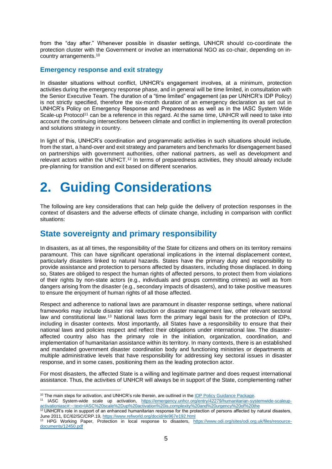from the "day after." Whenever possible in disaster settings, UNHCR should co-coordinate the protection cluster with the Government or involve an international NGO as co-chair, depending on incountry arrangements.<sup>10</sup>

## **Emergency response and exit strategy**

In disaster situations without conflict, UNHCR's engagement involves, at a minimum, protection activities during the emergency response phase, and in general will be time limited, in consultation with the Senior Executive Team. The duration of a "time limited" engagement (as per UNHCR's IDP Policy) is not strictly specified, therefore the six-month duration of an emergency declaration as set out in UNHCR's Policy on Emergency Response and Preparedness as well as in the IASC System Wide Scale-up Protocol<sup>11</sup> can be a reference in this regard. At the same time, UNHCR will need to take into account the continuing intersections between climate and conflict in implementing its overall protection and solutions strategy in country.

In light of this, UNHCR's coordination and programmatic activities in such situations should include, from the start, a hand-over and exit strategy and parameters and benchmarks for disengagement based on partnerships with government authorities, other national partners, as well as development and relevant actors within the UN/HCT.<sup>12</sup> In terms of preparedness activities, they should already include pre-planning for transition and exit based on different scenarios.

# **2. Guiding Considerations**

The following are key considerations that can help guide the delivery of protection responses in the context of disasters and the adverse effects of climate change, including in comparison with conflict situations:

## **State sovereignty and primary responsibility**

In disasters, as at all times, the responsibility of the State for citizens and others on its territory remains paramount. This can have significant operational implications in the internal displacement context, particularly disasters linked to natural hazards. States have the primary duty and responsibility to provide assistance and protection to persons affected by disasters, including those displaced. In doing so, States are obliged to respect the human rights of affected persons, to protect them from violations of their rights by non-state actors (e.g., individuals and groups committing crimes) as well as from dangers arising from the disaster (e.g., secondary impacts of disasters), and to take positive measures to ensure the enjoyment of human rights of all those affected.

Respect and adherence to national laws are paramount in disaster response settings, where national frameworks may include disaster risk reduction or disaster management law, other relevant sectoral law and constitutional law.<sup>13</sup> National laws form the primary legal basis for the protection of IDPs, including in disaster contexts. Most importantly, all States have a responsibility to ensure that their national laws and policies respect and reflect their obligations under international law. The disasteraffected country also has the primary role in the initiation, organization, coordination, and implementation of humanitarian assistance within its territory. In many contexts, there is an established and mandated government disaster coordination body and functioning ministries or departments at multiple administrative levels that have responsibility for addressing key sectoral issues in disaster response, and in some cases, positioning them as the leading protection actor.

For most disasters, the affected State is a willing and legitimate partner and does request international assistance. Thus, the activities of UNHCR will always be in support of the State, complementing rather

<sup>&</sup>lt;sup>10</sup> The main steps for activation, and UNHCR's role therein, are outlined in the <u>IDP Policy Guidance Package</u>.

<sup>11</sup> IASC System-wide scale up activation, [https://emergency.unhcr.org/entry/42279/humanitarian-systemwide-scaleup](https://emergency.unhcr.org/entry/42279/humanitarian-systemwide-scaleup-activationiasc#:~:text=IASC%20scale%2Dup%20activation%20is,complexity%20and%20urgency%20of%20the)[activationiasc#:~:text=IASC%20scale%2Dup%20activation%20is,complexity%20and%20urgency%20of%20the](https://emergency.unhcr.org/entry/42279/humanitarian-systemwide-scaleup-activationiasc#:~:text=IASC%20scale%2Dup%20activation%20is,complexity%20and%20urgency%20of%20the)

 $12$  UNHCR's role in support of an enhanced humanitarian response for the protection of persons affected by natural disasters, June 2011, EC/62/SC/CRP.19, <https://www.refworld.org/docid/4e967e192.html>

<sup>&</sup>lt;sup>13</sup> HPG Working Paper, Protection in local response to disasters, [https://www.odi.org/sites/odi.org.uk/files/resource](https://www.odi.org/sites/odi.org.uk/files/resource-documents/12450.pdf)[documents/12450.pdf](https://www.odi.org/sites/odi.org.uk/files/resource-documents/12450.pdf)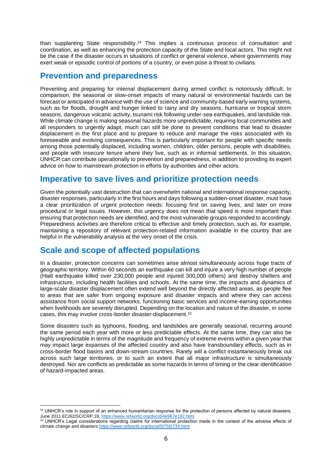than supplanting State responsibility.<sup>14</sup> This implies a continuous process of consultation and coordination, as well as enhancing the protection capacity of the State and local actors. This might not be the case if the disaster occurs in situations of conflict or general violence, where governments may exert weak or episodic control of portions of a country, or even pose a threat to civilians.

## **Prevention and preparedness**

Preventing and preparing for internal displacement during armed conflict is notoriously difficult. In comparison, the seasonal or slow-onset impacts of many natural or environmental hazards can be forecast or anticipated in advance with the use of science and community-based early warning systems, such as for floods, drought and hunger linked to rainy and dry seasons, hurricane or tropical storm seasons, dangerous volcanic activity, tsunami risk following under-sea earthquakes, and landslide risk. While climate change is making seasonal hazards more unpredictable, requiring local communities and all responders to urgently adapt, much can still be done to prevent conditions that lead to disaster displacement in the first place and to prepare to reduce and manage the risks associated with its foreseeable and evolving consequences. This is particularly important for people with specific needs among those potentially displaced, including women, children, older persons, people with disabilities, and people with insecure tenure where they live, such as in informal settlements. In this situation, UNHCR can contribute operationally to prevention and preparedness, in addition to providing its expert advice on how to mainstream protection in efforts by authorities and other actors.

## **Imperative to save lives and prioritize protection needs**

Given the potentially vast destruction that can overwhelm national and international response capacity, disaster responses, particularly in the first hours and days following a sudden-onset disaster, must have a clear prioritization of urgent protection needs: focusing first on saving lives, and later on more procedural or legal issues. However, this urgency does not mean that speed is more important than ensuring that protection needs are identified, and the most vulnerable groups responded to accordingly. Preparedness activities are therefore critical to effective and timely protection, such as, for example, maintaining a repository of relevant protection-related information available in the country that are helpful in the vulnerability analysis at the very onset of the crisis.

# **Scale and scope of affected populations**

In a disaster, protection concerns can sometimes arise almost simultaneously across huge tracts of geographic territory. Within 60 seconds an earthquake can kill and injure a very high number of people (Haiti earthquake killed over 230,000 people and injured 300,000 others) and destroy shelters and infrastructure, including health facilities and schools. At the same time, the impacts and dynamics of large-scale disaster displacement often extend well beyond the directly affected areas, as people flee to areas that are safer from ongoing exposure and disaster impacts and where they can access assistance from social support networks, functioning basic services and income-earning opportunities when livelihoods are severely disrupted. Depending on the location and nature of the disaster, in some cases, this may involve cross-border disaster-displacement.<sup>15</sup>

Some disasters such as typhoons, flooding, and landslides are generally seasonal, recurring around the same period each year with more or less predictable effects. At the same time, they can also be highly unpredictable in terms of the magnitude and frequency of extreme events within a given year that may impact large expanses of the affected country and also have transboundary effects, such as in cross-border flood basins and down-stream countries. Rarely will a conflict instantaneously break out across such large territories, or to such an extent that all major infrastructure is simultaneously destroyed. Nor are conflicts as predictable as some hazards in terms of timing or the clear identification of hazard-impacted areas.

<sup>&</sup>lt;sup>14</sup> UNHCR's role in support of an enhanced humanitarian response for the protection of persons affected by natural disasters, June 2011 EC/62/SC/CRP.19,<https://www.refworld.org/docid/4e967e192.html>

<sup>&</sup>lt;sup>15</sup> UNHCR's Legal considerations regarding claims for international protection made in the context of the adverse effects of climate change and disasters<https://www.refworld.org/docid/5f75f2734.html>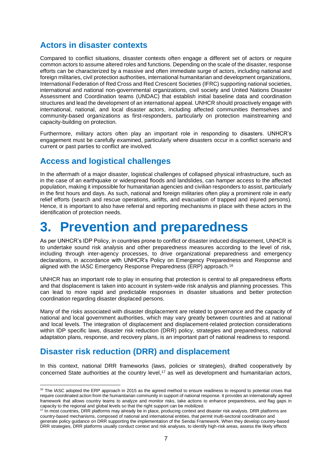# **Actors in disaster contexts**

Compared to conflict situations, disaster contexts often engage a different set of actors or require common actors to assume altered roles and functions. Depending on the scale of the disaster, response efforts can be characterized by a massive and often immediate surge of actors, including national and foreign militaries, civil protection authorities, international humanitarian and development organizations, International Federation of Red Cross and Red Crescent Societies (IFRC) supporting national societies, international and national non-governmental organizations, civil society and United Nations Disaster Assessment and Coordination teams (UNDAC) that establish initial baseline data and coordination structures and lead the development of an international appeal. UNHCR should proactively engage with international, national, and local disaster actors, including affected communities themselves and community-based organizations as first-responders, particularly on protection mainstreaming and capacity-building on protection.

Furthermore, military actors often play an important role in responding to disasters. UNHCR's engagement must be carefully examined, particularly where disasters occur in a conflict scenario and current or past parties to conflict are involved.

# **Access and logistical challenges**

In the aftermath of a major disaster, logistical challenges of collapsed physical infrastructure, such as in the case of an earthquake or widespread floods and landslides, can hamper access to the affected population, making it impossible for humanitarian agencies and civilian responders to assist, particularly in the first hours and days. As such, national and foreign militaries often play a prominent role in early relief efforts (search and rescue operations, airlifts, and evacuation of trapped and injured persons). Hence, it is important to also have referral and reporting mechanisms in place with these actors in the identification of protection needs.

# **3. Prevention and preparedness**

As per UNHCR's IDP Policy, in countries prone to conflict or disaster induced displacement, UNHCR is to undertake sound risk analysis and other preparedness measures according to the level of risk, including through inter-agency processes, to drive organizational preparedness and emergency declarations, in accordance with UNHCR's Policy on Emergency Preparedness and Response and aligned with the IASC Emergency Response Preparedness (ERP) approach.<sup>16</sup>

UNHCR has an important role to play in ensuring that protection is central to all preparedness efforts and that displacement is taken into account in system-wide risk analysis and planning processes. This can lead to more rapid and predictable responses in disaster situations and better protection coordination regarding disaster displaced persons.

Many of the risks associated with disaster displacement are related to governance and the capacity of national and local government authorities, which may vary greatly between countries and at national and local levels. The integration of displacement and displacement-related protection considerations within IDP specific laws, disaster risk reduction (DRR) policy, strategies and preparedness, national adaptation plans, response, and recovery plans, is an important part of national readiness to respond.

# **Disaster risk reduction (DRR) and displacement**

In this context, national DRR frameworks (laws, policies or strategies), drafted cooperatively by concerned State authorities at the country level, <sup>17</sup> as well as development and humanitarian actors,

<sup>&</sup>lt;sup>16</sup> The IASC adopted the ERP approach in 2015 as the agreed method to ensure readiness to respond to potential crises that require coordinated action from the humanitarian community in support of national response. It provides an internationally agreed framework that allows country teams to analyze and monitor risks, take actions to enhance preparedness, and flag gaps in capacity to the regional and global levels so that the right support can be mobilized.

<sup>&</sup>lt;sup>17</sup> In most countries, DRR platforms may already be in place, producing context and disaster risk analysis. DRR platforms are country-based mechanisms, composed of national and international entities, that permit multi-sectoral coordination and generate policy guidance on DRR supporting the implementation of the Sendai Framework. When they develop country-based DRR strategies, DRR platforms usually conduct context and risk analyses, to identify high-risk areas, assess the likely effects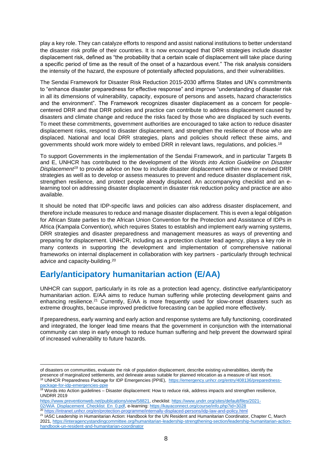play a key role. They can catalyze efforts to respond and assist national institutions to better understand the disaster risk profile of their countries. It is now encouraged that DRR strategies include disaster displacement risk, defined as "the probability that a certain scale of displacement will take place during a specific period of time as the result of the onset of a hazardous event." The risk analysis considers the intensity of the hazard, the exposure of potentially affected populations, and their vulnerabilities.

The Sendai Framework for Disaster Risk Reduction 2015-2030 affirms States and UN's commitments to "enhance disaster preparedness for effective response" and improve "understanding of disaster risk in all its dimensions of vulnerability, capacity, exposure of persons and assets, hazard characteristics and the environment". The Framework recognizes disaster displacement as a concern for peoplecentered DRR and that DRR policies and practice can contribute to address displacement caused by disasters and climate change and reduce the risks faced by those who are displaced by such events. To meet these commitments, government authorities are encouraged to take action to reduce disaster displacement risks, respond to disaster displacement, and strengthen the resilience of those who are displaced. National and local DRR strategies, plans and policies should reflect these aims, and governments should work more widely to embed DRR in relevant laws, regulations, and policies.<sup>18</sup>

To support Governments in the implementation of the Sendai Framework, and in particular Targets B and E, UNHCR has contributed to the development of the *Words into Action Guideline on Disaster Displacement<sup>19</sup>* to provide advice on how to include disaster displacement within new or revised DRR strategies as well as to develop or assess measures to prevent and reduce disaster displacement risk, strengthen resilience, and protect people already displaced. An accompanying checklist and an elearning tool on addressing disaster displacement in disaster risk reduction policy and practice are also available.

It should be noted that IDP-specific laws and policies can also address disaster displacement, and therefore include measures to reduce and manage disaster displacement. This is even a legal obligation for African State parties to the African Union Convention for the Protection and Assistance of IDPs in Africa (Kampala Convention), which requires States to establish and implement early warning systems, DRR strategies and disaster preparedness and management measures as ways of preventing and preparing for displacement. UNHCR, including as a protection cluster lead agency, plays a key role in many contexts in supporting the development and implementation of comprehensive national frameworks on internal displacement in collaboration with key partners - particularly through technical advice and capacity-building.<sup>20</sup>

# **Early/anticipatory humanitarian action (E/AA)**

UNHCR can support, particularly in its role as a protection lead agency, distinctive early/anticipatory humanitarian action. E/AA aims to reduce human suffering while protecting development gains and enhancing resilience.<sup>21</sup> Currently, E/AA is more frequently used for slow-onset disasters such as extreme droughts, because improved predictive forecasting can be applied more effectively.

If preparedness, early warning and early action and response systems are fully functioning, coordinated and integrated, the longer lead time means that the government in conjunction with the international community can step in early enough to reduce human suffering and help prevent the downward spiral of increased vulnerability to future hazards.

[https://www.preventionweb.net/publications/view/58821,](https://www.preventionweb.net/publications/view/58821) checklist[: https://www.undrr.org/sites/default/files/2021-](https://www.undrr.org/sites/default/files/2021-02/WiA_Displacement_Checklist_En_0.pdf) [02/WiA\\_Displacement\\_Checklist\\_En\\_0.pdf,](https://www.undrr.org/sites/default/files/2021-02/WiA_Displacement_Checklist_En_0.pdf) e-learning[: https://kayaconnect.org/course/info.php?id=3028](https://kayaconnect.org/course/info.php?id=3028)

of disasters on communities, evaluate the risk of population displacement, describe existing vulnerabilities, identify the presence of marginalized settlements, and delineate areas suitable for planned relocation as a measure of last resort. <sup>18</sup> UNHCR Preparedness Package for IDP Emergencies (PPIE), [https://emergency.unhcr.org/entry/408136/preparedness-](https://emergency.unhcr.org/entry/408136/preparedness-package-for-idp-emergencies-ppie)

[package-for-idp-emergencies-ppie](https://emergency.unhcr.org/entry/408136/preparedness-package-for-idp-emergencies-ppie)  $19$  Words into Action guidelines  $-$  Disaster displacement: How to reduce risk, address impacts and strengthen resilience, UNDRR 2019

<sup>&</sup>lt;sup>20</sup> <https://intranet.unhcr.org/en/protection-programme/internally-displaced-persons/idp-law-and-policy.html>

<sup>&</sup>lt;sup>21</sup> IASC Leadership in Humanitarian Action: Handbook for the UN Resident and Humanitarian Coordinator, Chapter C, March 2021[, https://interagencystandingcommittee.org/humanitarian-leadership-strengthening-section/leadership-humanitarian-action](https://interagencystandingcommittee.org/humanitarian-leadership-strengthening-section/leadership-humanitarian-action-handbook-un-resident-and-humanitarian-coordinator)[handbook-un-resident-and-humanitarian-coordinator](https://interagencystandingcommittee.org/humanitarian-leadership-strengthening-section/leadership-humanitarian-action-handbook-un-resident-and-humanitarian-coordinator)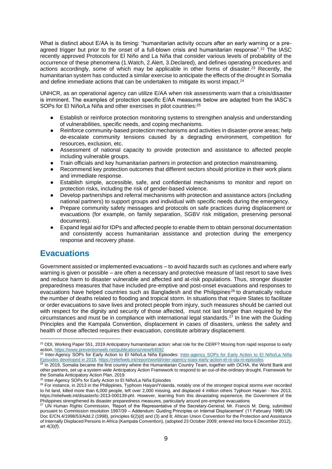What is distinct about E/AA is its timing: "humanitarian activity occurs after an early warning or a preagreed trigger but prior to the onset of a full-blown crisis and humanitarian response".<sup>22</sup> The IASC recently approved Protocols for El Niño and La Niña that consider various levels of probability of the occurrence of these phenomena (1.Watch, 2.Alert, 3.Declared), and defines operating procedures and actions accordingly, some of which may be applicable in other forms of disaster.<sup>23</sup> Recently, the humanitarian system has conducted a similar exercise to anticipate the effects of the drought in Somalia and define immediate actions that can be undertaken to mitigate its worst impact.<sup>24</sup>

UNHCR, as an operational agency can utilize E/AA when risk assessments warn that a crisis/disaster is imminent. The examples of protection specific E/AA measures below are adapted from the IASC's SOPs for El Niño/La Niña and other exercises in pilot countries:<sup>25</sup>

- Establish or reinforce protection monitoring systems to strengthen analysis and understanding of vulnerabilities, specific needs, and coping mechanisms.
- Reinforce community-based protection mechanisms and activities in disaster-prone areas; help de-escalate community tensions caused by a degrading environment, competition for resources, exclusion, etc.
- Assessment of national capacity to provide protection and assistance to affected people including vulnerable groups.
- Train officials and key humanitarian partners in protection and protection mainstreaming.
- Recommend key protection outcomes that different sectors should prioritize in their work plans and immediate response.
- Establish simple, accessible, safe, and confidential mechanisms to monitor and report on protection risks, including the risk of gender-based violence.
- Develop partnerships and referral mechanisms with protection and assistance actors (including national partners) to support groups and individual with specific needs during the emergency.
- Prepare community safety messages and protocols on safe practices during displacement or evacuations (for example, on family separation, SGBV risk mitigation, preserving personal documents).
- Expand legal aid for IDPs and affected people to enable them to obtain personal documentation and consistently access humanitarian assistance and protection during the emergency response and recovery phase.

# **Evacuations**

Government assisted or implemented evacuations – to avoid hazards such as cyclones and where early warning is given or possible – are often a necessary and protective measure of last resort to save lives and reduce harm to disaster vulnerable and affected and at-risk populations. Thus, stronger disaster preparedness measures that have included pre-emptive and post-onset evacuations and responses to evacuations have helped countries such as Bangladesh and the Philippines<sup>26</sup> to dramatically reduce the number of deaths related to flooding and tropical storm. In situations that require States to facilitate or order evacuations to save lives and protect people from injury, such measures should be carried out with respect for the dignity and security of those affected, must not last longer than required by the circumstances and must be in compliance with international legal standards.<sup>27</sup> In line with the Guiding Principles and the Kampala Convention, displacement in cases of disasters, unless the safety and health of those affected requires their evacuation, constitute arbitrary displacement.

<sup>&</sup>lt;sup>22</sup> ODI, Working Paper 551, 2019 Anticipatory humanitarian action: what role for the CERF? Moving from rapid response to early action,<https://www.preventionweb.net/publications/view/64592>

<sup>&</sup>lt;sup>23</sup> Inter-Agency SOPs for Early Action to El Niño/La Niña Episodes: Inter-agency SOPs for Early Action to El Niño/La Niña Episodes developed in 2018,<https://reliefweb.int/report/world/inter-agency-sops-early-action-el-ni-ola-ni-episodes>

<sup>&</sup>lt;sup>24</sup> In 2019, Somalia became the first country where the Humanitarian Country Team, together with OCHA, the World Bank and other partners, set up a system-wide Anticipatory Action Framework to respond to an out-of-the-ordinary drought. Framework for the Somalia Anticipatory Action Plan, 2019.

<sup>&</sup>lt;sup>25</sup> Inter-Agency SOPs for Early Action to El Niño/La Niña Episodes

<sup>&</sup>lt;sup>26</sup> For instance, in 2013 in the Philippines, Typhoon Haiyan/Yolanda, notably one of the strongest tropical storms ever recorded to hit land, killed more than 6,000 people, left over 2,000 missing, and displaced 4 million others Typhoon Haiyan - Nov 2013, https://reliefweb.int/disaster/tc-2013-000139-phl. However, learning from this devastating experience, the Government of the Philippines strengthened its disaster preparedness measures, particularly around pre-emptive evacuations

<sup>27</sup> UN Human Rights Commission, 'Report of the Representative of the Secretary-General, Mr. Francis M. Deng, submitted pursuant to Commission resolution 1997/39 – Addendum: Guiding Principles on Internal Displacement' (11 February 1998) UN Doc E/CN.4/1998/53/Add.2 (1998), principles 6(2)(d) and (3) and 8; African Union Convention for the Protection and Assistance of Internally Displaced Persons in Africa (Kampala Convention), (adopted 23 October 2009; entered into force 6 December 2012), art 4(3)(f).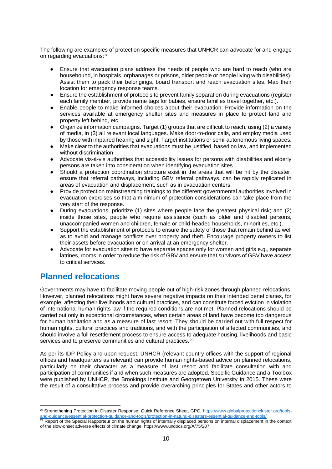The following are examples of protection specific measures that UNHCR can advocate for and engage on regarding evacuations:<sup>28</sup>

- Ensure that evacuation plans address the needs of people who are hard to reach (who are housebound, in hospitals, orphanages or prisons, older people or people living with disabilities). Assist them to pack their belongings, board transport and reach evacuation sites. Map their location for emergency response teams.
- Ensure the establishment of protocols to prevent family separation during evacuations (register each family member, provide name tags for babies, ensure families travel together, etc.).
- Enable people to make informed choices about their evacuation. Provide information on the services available at emergency shelter sites and measures in place to protect land and property left behind, etc.
- Organize information campaigns. Target (1) groups that are difficult to reach, using (2) a variety of media, in (3) all relevant local languages. Make door-to-door calls, and employ media used by those with impaired hearing and sight. Target institutions or semi-autonomous living spaces.
- Make clear to the authorities that evacuations must be justified, based on law, and implemented without discrimination.
- Advocate vis-à-vis authorities that accessibility issues for persons with disabilities and elderly persons are taken into consideration when identifying evacuation sites.
- Should a protection coordination structure exist in the areas that will be hit by the disaster, ensure that referral pathways, including GBV referral pathways, can be rapidly replicated in areas of evacuation and displacement, such as in evacuation centers.
- Provide protection mainstreaming trainings to the different governmental authorities involved in evacuation exercises so that a minimum of protection considerations can take place from the very start of the response.
- During evacuations, prioritize (1) sites where people face the greatest physical risk; and (2) inside those sites, people who require assistance (such as older and disabled persons, unaccompanied women and children, female or child-headed households, minorities, etc.).
- Support the establishment of protocols to ensure the safety of those that remain behind as well as to avoid and manage conflicts over property and theft. Encourage property owners to list their assets before evacuation or on arrival at an emergency shelter.
- Advocate for evacuation sites to have separate spaces only for women and girls e.g., separate latrines, rooms in order to reduce the risk of GBV and ensure that survivors of GBV have access to critical services.

# **Planned relocations**

Governments may have to facilitate moving people out of high-risk zones through planned relocations. However, planned relocations might have severe negative impacts on their intended beneficiaries, for example, affecting their livelihoods and cultural practices, and can constitute forced eviction in violation of international human rights law if the required conditions are not met. Planned relocations should be carried out only in exceptional circumstances, when certain areas of land have become too dangerous for human habitation and as a measure of last resort. They should be carried out with full respect for human rights, cultural practices and traditions, and with the participation of affected communities, and should involve a full resettlement process to ensure access to adequate housing, livelihoods and basic services and to preserve communities and cultural practices.<sup>29</sup>

As per its IDP Policy and upon request, UNHCR (relevant country offices with the support of regional offices and headquarters as relevant) can provide human rights-based advice on planned relocations, particularly on their character as a measure of last resort and facilitate consultation with and participation of communities if and when such measures are adopted. Specific Guidance and a Toolbox were published by UNHCR, the Brookings Institute and Georgetown University in 2015. These were the result of a consultative process and provide overarching principles for States and other actors to

<sup>&</sup>lt;sup>28</sup> Strengthening Protection in Disaster Response: Quick Reference Sheet, GPC, [https://www.globalprotectioncluster.org/tools](https://www.globalprotectioncluster.org/tools-and-guidance/essential-protection-guidance-and-tools/protection-in-natural-disasters-essential-guidance-and-tools/)[and-guidance/essential-protection-guidance-and-tools/protection-in-natural-disasters-essential-guidance-and-tools/](https://www.globalprotectioncluster.org/tools-and-guidance/essential-protection-guidance-and-tools/protection-in-natural-disasters-essential-guidance-and-tools/)

<sup>&</sup>lt;sup>29</sup> Report of the Special Rapporteur on the human rights of internally displaced persons on internal displacement in the context of the slow-onset adverse effects of climate change, https://www.undocs.org/A/75/207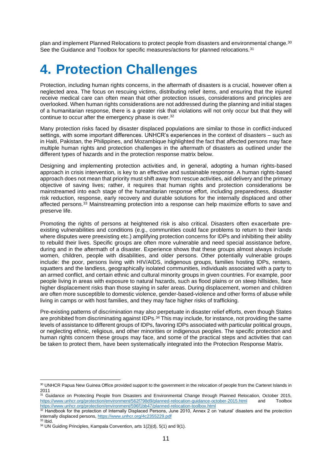plan and implement Planned Relocations to protect people from disasters and environmental change.<sup>30</sup> See the Guidance and Toolbox for specific measures/actions for planned relocations.<sup>31</sup>

# **4. Protection Challenges**

Protection, including human rights concerns, in the aftermath of disasters is a crucial, however often a neglected area. The focus on rescuing victims, distributing relief items, and ensuring that the injured receive medical care can often mean that other protection issues, considerations and principles are overlooked. When human rights considerations are not addressed during the planning and initial stages of a humanitarian response, there is a greater risk that violations will not only occur but that they will continue to occur after the emergency phase is over.<sup>32</sup>

Many protection risks faced by disaster displaced populations are similar to those in conflict-induced settings, with some important differences. UNHCR's experiences in the context of disasters – such as in Haiti, Pakistan, the Philippines, and Mozambique highlighted the fact that affected persons may face multiple human rights and protection challenges in the aftermath of disasters as outlined under the different types of hazards and in the protection response matrix below.

Designing and implementing protection activities and, in general, adopting a human rights-based approach in crisis intervention, is key to an effective and sustainable response. A human rights-based approach does not mean that priority must shift away from rescue activities, aid delivery and the primary objective of saving lives; rather, it requires that human rights and protection considerations be mainstreamed into each stage of the humanitarian response effort, including preparedness, disaster risk reduction, response, early recovery and durable solutions for the internally displaced and other affected persons.<sup>33</sup> Mainstreaming protection into a response can help maximize efforts to save and preserve life.

Promoting the rights of persons at heightened risk is also critical. Disasters often exacerbate preexisting vulnerabilities and conditions (e.g., communities could face problems to return to their lands where disputes were preexisting etc.) amplifying protection concerns for IDPs and inhibiting their ability to rebuild their lives. Specific groups are often more vulnerable and need special assistance before, during and in the aftermath of a disaster. Experience shows that these groups almost always include women, children, people with disabilities, and older persons. Other potentially vulnerable groups include: the poor, persons living with HIV/AIDS, indigenous groups, families hosting IDPs, renters, squatters and the landless, geographically isolated communities, individuals associated with a party to an armed conflict, and certain ethnic and cultural minority groups in given countries. For example, poor people living in areas with exposure to natural hazards, such as flood plains or on steep hillsides, face higher displacement risks than those staying in safer areas. During displacement, women and children are often more susceptible to domestic violence, gender-based-violence and other forms of abuse while living in camps or with host families, and they may face higher risks of trafficking.

Pre-existing patterns of discrimination may also perpetuate in disaster relief efforts, even though States are prohibited from discriminating against IDPs.<sup>34</sup> This may include, for instance, not providing the same levels of assistance to different groups of IDPs, favoring IDPs associated with particular political groups, or neglecting ethnic, religious, and other minorities or indigenous peoples. The specific protection and human rights concern these groups may face, and some of the practical steps and activities that can be taken to protect them, have been systematically integrated into the Protection Response Matrix.

<sup>30</sup> UNHCR Papua New Guinea Office provided support to the government in the relocation of people from the Carteret Islands in 2011

<sup>&</sup>lt;sup>31</sup> Guidance on Protecting People from Disasters and Environmental Change through Planned Relocation, October 2015, <https://www.unhcr.org/protection/environment/562f798d9/planned-relocation-guidance-october-2015.html> and Toolbox <https://www.unhcr.org/protection/environment/596f1bb47/planned-relocation-toolbox.html>

 $32$  Handbook for the protection of Internally Displaced Persons, June 2010, Annex 2 on 'natural' disasters and the protection internally displaced persons,<https://www.unhcr.org/4c2355229.pdf>  $33$  Ibid.

<sup>&</sup>lt;sup>34</sup> UN Guiding Principles, Kampala Convention, arts 1(2)(d), 5(1) and 9(1).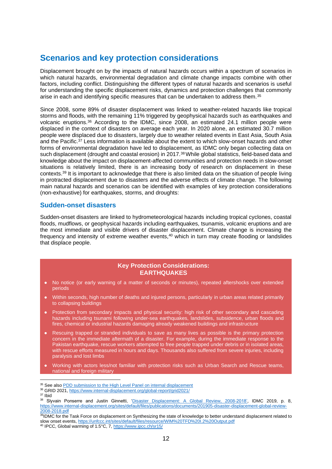# **Scenarios and key protection considerations**

Displacement brought on by the impacts of natural hazards occurs within a spectrum of scenarios in which natural hazards, environmental degradation and climate change impacts combine with other factors, including conflict. Distinguishing the different types of natural hazards and scenarios is useful for understanding the specific displacement risks, dynamics and protection challenges that commonly arise in each and identifying specific measures that can be undertaken to address them.<sup>35</sup>

Since 2008, some 89% of disaster displacement was linked to weather-related hazards like tropical storms and floods, with the remaining 11% triggered by geophysical hazards such as earthquakes and volcanic eruptions. <sup>36</sup> According to the IDMC, since 2008, an estimated 24.1 million people were displaced in the context of disasters on average each year. In 2020 alone, an estimated 30.7 million people were displaced due to disasters, largely due to weather related events in East Asia, South Asia and the Pacific.<sup>37</sup> Less information is available about the extent to which slow-onset hazards and other forms of environmental degradation have led to displacement, as IDMC only began collecting data on such displacement (drought and coastal erosion) in 2017.<sup>38</sup> While global statistics, field-based data and knowledge about the impact on displacement-affected communities and protection needs in slow-onset situations is relatively limited, there is an increasing body of research on displacement in these contexts.<sup>39</sup> It is important to acknowledge that there is also limited data on the situation of people living in protracted displacement due to disasters and the adverse effects of climate change. The following main natural hazards and scenarios can be identified with examples of key protection considerations (non-exhaustive) for earthquakes, storms, and droughts:

## **Sudden-onset disasters**

Sudden-onset disasters are linked to hydrometeorological hazards including tropical cyclones, coastal floods, mudflows, or geophysical hazards including earthquakes, tsunamis, volcanic eruptions and are the most immediate and visible drivers of disaster displacement. Climate change is increasing the frequency and intensity of extreme weather events,<sup>40</sup> which in turn may create flooding or landslides that displace people.

## **Key Protection Considerations: EARTHQUAKES**

- No notice (or early warning of a matter of seconds or minutes), repeated aftershocks over extended periods
- Within seconds, high number of deaths and injured persons, particularly in urban areas related primarily to collapsing buildings
- Protection from secondary impacts and physical security: high risk of other secondary and cascading hazards including tsunami following under-sea earthquakes, landslides, subsidence, urban floods and fires, chemical or industrial hazards damaging already weakened buildings and infrastructure
- Rescuing trapped or stranded individuals to save as many lives as possible is the primary protection concern in the immediate aftermath of a disaster. For example, during the immediate response to the Pakistan earthquake, rescue workers attempted to free people trapped under debris or in isolated areas, with rescue efforts measured in hours and days. Thousands also suffered from severe injuries, including paralysis and lost limbs
- Working with actors less/not familiar with protection risks such as Urban Search and Rescue teams, national and foreign military

<sup>&</sup>lt;sup>35</sup> See also **PDD** submission to the High Level Panel on internal displacement

<sup>36</sup> GRID 2021[, https://www.internal-displacement.org/global-report/grid2021/](https://www.internal-displacement.org/global-report/grid2021/)

 $37$  Ibid

<sup>38</sup> Slyvain Ponserre and Justin Ginnetti, ['Disaster Displacement: A Global Review, 2008-2018',](https://www.internal-displacement.org/sites/default/files/publications/documents/201905-disaster-displacement-global-review-2008-2018.pdf) IDMC 2019, p. 8, [https://www.internal-displacement.org/sites/default/files/publications/documents/201905-disaster-displacement-global-review-](https://www.internal-displacement.org/sites/default/files/publications/documents/201905-disaster-displacement-global-review-2008-2018.pdf)[2008-2018.pdf](https://www.internal-displacement.org/sites/default/files/publications/documents/201905-disaster-displacement-global-review-2008-2018.pdf) 

<sup>&</sup>lt;sup>39</sup>IDMC for the Task Force on displacement on Synthesizing the state of knowledge to better understand displacement related to slow onset events,<https://unfccc.int/sites/default/files/resource/WIM%20TFD%20I.2%20Output.pdf>

<sup>&</sup>lt;sup>40</sup> IPCC, Global warming of 1.5°C, 7[, https://www.ipcc.ch/sr15/](https://www.ipcc.ch/sr15/)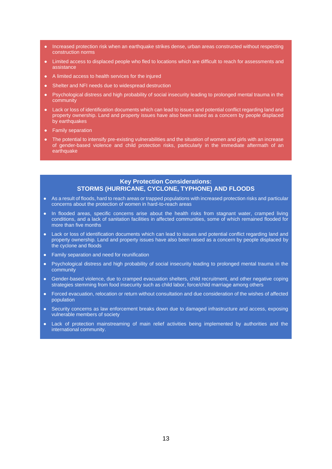- Increased protection risk when an earthquake strikes dense, urban areas constructed without respecting construction norms
- Limited access to displaced people who fled to locations which are difficult to reach for assessments and assistance
- A limited access to health services for the injured
- Shelter and NFI needs due to widespread destruction
- Psychological distress and high probability of social insecurity leading to prolonged mental trauma in the community
- Lack or loss of identification documents which can lead to issues and potential conflict regarding land and property ownership. Land and property issues have also been raised as a concern by people displaced by earthquakes
- **Family separation**
- The potential to intensify pre-existing vulnerabilities and the situation of women and girls with an increase of gender-based violence and child protection risks, particularly in the immediate aftermath of an earthquake

## **Key Protection Considerations: STORMS (HURRICANE, CYCLONE, TYPHONE) AND FLOODS**

- As a result of floods, hard to reach areas or trapped populations with increased protection risks and particular concerns about the protection of women in hard-to-reach areas
- In flooded areas, specific concerns arise about the health risks from stagnant water, cramped living conditions, and a lack of sanitation facilities in affected communities, some of which remained flooded for more than five months
- Lack or loss of identification documents which can lead to issues and potential conflict regarding land and property ownership. Land and property issues have also been raised as a concern by people displaced by the cyclone and floods
- Family separation and need for reunification
- Psychological distress and high probability of social insecurity leading to prolonged mental trauma in the community
- Gender-based violence, due to cramped evacuation shelters, child recruitment, and other negative coping strategies stemming from food insecurity such as child labor, force/child marriage among others
- Forced evacuation, relocation or return without consultation and due consideration of the wishes of affected population
- Security concerns as law enforcement breaks down due to damaged infrastructure and access, exposing vulnerable members of society
- Lack of protection mainstreaming of main relief activities being implemented by authorities and the international community.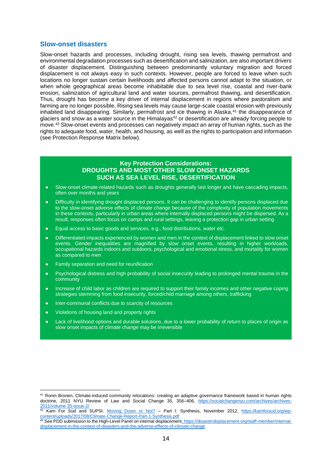## **Slow-onset disasters**

Slow-onset hazards and processes, including drought, rising sea levels, thawing permafrost and environmental degradation processes such as desertification and salinization, are also important drivers of disaster displacement. Distinguishing between predominantly voluntary migration and forced displacement is not always easy in such contexts. However, people are forced to leave when such locations no longer sustain certain livelihoods and affected persons cannot adapt to the situation, or when whole geographical areas become inhabitable due to sea level rise, coastal and river-bank erosion, salinization of agricultural land and water sources, permafrost thawing, and desertification. Thus, drought has become a key driver of internal displacement in regions where pastoralism and farming are no longer possible. Rising sea levels may cause large-scale coastal erosion with previously inhabited land disappearing. Similarly, permafrost and ice thawing in Alaska,<sup>41</sup> the disappearance of glaciers and snow as a water source in the Himalayas<sup>42</sup> or desertification are already forcing people to move.<sup>43</sup> Slow-onset events and processes can negatively impact an array of human rights, such as the rights to adequate food, water, health, and housing, as well as the rights to participation and information (see Protection Response Matrix below).

## **Key Protection Considerations: DROUGHTS AND MOST OTHER SLOW ONSET HAZARDS SUCH AS SEA LEVEL RISE, DESERTIFICATION**

- Slow-onset climate-related hazards such as droughts generally last longer and have cascading impacts, often over months and years
- Difficulty in identifying drought displaced persons. It can be challenging to identify persons displaced due to the slow-onset adverse effects of climate change because of the complexity of population movements in these contexts, particularly in urban areas where internally displaced persons might be dispersed. As a result, responses often focus on camps and rural settings, leaving a protection gap in urban setting
- Equal access to basic goods and services, e.g., food distributions, water etc.
- Differentiated impacts experienced by women and men in the context of displacement linked to slow onset events. Gender inequalities are magnified by slow onset events, resulting in higher workloads, occupational hazards indoors and outdoors, psychological and emotional stress, and mortality for women as compared to men
- Family separation and need for reunification
- Psychological distress and high probability of social insecurity leading to prolonged mental trauma in the community
- Increase of child labor as children are required to support their family incomes and other negative coping strategies stemming from food insecurity, forced/child marriage among others, trafficking
- Inter-communal conflicts due to scarcity of resources
- Violations of housing land and property rights
- Lack of livelihood options and durable solutions, due to a lower probability of return to places of origin as slow onset impacts of climate change may be irreversible

<sup>41</sup> Ronin Bronen, Climate-induced community relocations: creating an adaptive governance framework based in human rights doctrine, 2011 NYU Review of Law and Social Change 35, 356–406, [https://socialchangenyu.com/archives/archives-](https://socialchangenyu.com/archives/archives-2011/volume-35-issue-2/)[2011/volume-35-issue-2/](https://socialchangenyu.com/archives/archives-2011/volume-35-issue-2/)

<sup>&</sup>lt;sup>42</sup> Kam For Sud and SUPSI. [Moving Down or Not?](https://kamforsud.org/wp-content/uploads/2017/08/Climate-Change-Report-Part-1-Synthesis.pdf) – Part I: Synthesis, November 2012, [https://kamforsud.org/wp](https://kamforsud.org/wp-content/uploads/2017/08/Climate-Change-Report-Part-1-Synthesis.pdf)[content/uploads/2017/08/Climate-Change-Report-Part-1-Synthesis.pdf](https://kamforsud.org/wp-content/uploads/2017/08/Climate-Change-Report-Part-1-Synthesis.pdf)

<sup>&</sup>lt;sup>43</sup> See PDD submission to the High-Level Panel on internal displacement, https://disasterdisplacement.org/staff-member/internaldisplacement-in-the-context-of-disasters-and-the-adverse-effects-of-climate-change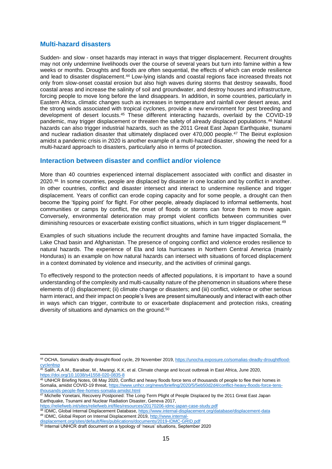## **Multi-hazard disasters**

Sudden- and slow - onset hazards may interact in ways that trigger displacement. Recurrent droughts may not only undermine livelihoods over the course of several years but turn into famine within a few weeks or months. Droughts and floods are often sequential, the effects of which can erode resilience and lead to disaster displacement.<sup>44</sup> Low-lying islands and coastal regions face increased threats not only from slow-onset coastal erosion but also high waves during storms that destroy seawalls, flood coastal areas and increase the salinity of soil and groundwater, and destroy houses and infrastructure, forcing people to move long before the land disappears. In addition, in some countries, particularly in Eastern Africa, climatic changes such as increases in temperature and rainfall over desert areas, and the strong winds associated with tropical cyclones, provide a new environment for pest breeding and development of desert locusts.<sup>45</sup> These different interacting hazards, overlaid by the COVID-19 pandemic, may trigger displacement or threaten the safety of already displaced populations.<sup>46</sup> Natural hazards can also trigger industrial hazards, such as the 2011 Great East Japan Earthquake, tsunami and nuclear radiation disaster that ultimately displaced over 470,000 people.<sup>47</sup> The Beirut explosion amidst a pandemic crisis in 2020 is another example of a multi-hazard disaster, showing the need for a multi-hazard approach to disasters, particularly also in terms of protection.

## **Interaction between disaster and conflict and/or violence**

More than 40 countries experienced internal displacement associated with conflict and disaster in 2020.48. In some countries, people are displaced by disaster in one location and by conflict in another. In other countries, conflict and disaster intersect and interact to undermine resilience and trigger displacement. Years of conflict can erode coping capacity and for some people, a drought can then become the 'tipping point' for flight. For other people, already displaced to informal settlements, host communities or camps by conflict, the onset of floods or storms can force them to move again. Conversely, environmental deterioration may prompt violent conflicts between communities over diminishing resources or exacerbate existing conflict situations, which in turn trigger displacement.<sup>49</sup>

Examples of such situations include the recurrent droughts and famine have impacted Somalia, the Lake Chad basin and Afghanistan. The presence of ongoing conflict and violence erodes resilience to natural hazards. The experience of Eta and Iota hurricanes in Northern Central America (mainly Honduras) is an example on how natural hazards can intersect with situations of forced displacement in a context dominated by violence and insecurity, and the activities of criminal gangs.

To effectively respond to the protection needs of affected populations, it is important to have a sound understanding of the complexity and multi-causality nature of the phenomenon in situations where these elements of (i) displacement; (ii) climate change or disasters; and (iii) conflict, violence or other serious harm interact, and their impact on people's lives are present simultaneously and interact with each other in ways which can trigger, contribute to or exacerbate displacement and protection risks, creating diversity of situations and dynamics on the ground.<sup>50</sup>

<https://reliefweb.int/sites/reliefweb.int/files/resources/20170206-idmc-japan-case-study.pdf>

<sup>44</sup> OCHA, Somalia's deadly drought-flood cycle, 29 November 2019[, https://unocha.exposure.co/somalias-deadly-droughtflood](https://unocha.exposure.co/somalias-deadly-droughtflood-cyclenbsp)**[cyclenbsp](https://unocha.exposure.co/somalias-deadly-droughtflood-cyclenbsp)** 

<sup>45</sup> Salih, A.A.M., Baraibar, M., Mwangi, K.K. et al. Climate change and locust outbreak in East Africa, June 2020, https://doi.org/10.1038/s41558-020-0835-

<sup>46</sup> UNHCR Briefing Notes, 08 May 2020, Conflict and heavy floods force tens of thousands of people to flee their homes in Somalia, amidst COVID-19 threat[, https://www.unhcr.org/news/briefing/2020/5/5eb50d2d4/conflict-heavy-floods-force-tens](https://www.unhcr.org/news/briefing/2020/5/5eb50d2d4/conflict-heavy-floods-force-tens-thousands-people-flee-homes-somalia-amidst.html)[thousands-people-flee-homes-somalia-amidst.html](https://www.unhcr.org/news/briefing/2020/5/5eb50d2d4/conflict-heavy-floods-force-tens-thousands-people-flee-homes-somalia-amidst.html)

<sup>&</sup>lt;sup>47</sup> Michelle Yonetani, Recovery Postponed: The Long-Term Plight of People Displaced by the 2011 Great East Japan Earthquake, Tsunami and Nuclear Radiation Disaster, Geneva 2017,

<sup>&</sup>lt;sup>48</sup> IDMC, Global Internal Displacement Database[, https://www.internal-displacement.org/database/displacement-data](https://www.internal-displacement.org/database/displacement-data) <sup>49</sup> IDMC, Global Report on Internal Displacement 2019, [http://www.internal-](http://www.internal-displacement.org/sites/default/files/publications/documents/2019-IDMC-GRID.pdf)

lisplacement.org/sites/default/files/publications/documents/2019-IDMC-GRID.pdf

<sup>50</sup> Internal UNHCR draft document on a typology of 'nexus' situations, September 2020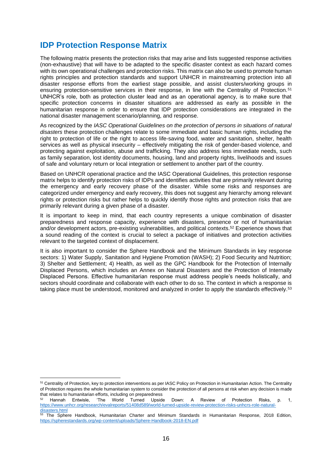# **IDP Protection Response Matrix**

The following matrix presents the protection risks that may arise and lists suggested response activities (non-exhaustive) that will have to be adapted to the specific disaster context as each hazard comes with its own operational challenges and protection risks. This matrix can also be used to promote human rights principles and protection standards and support UNHCR in mainstreaming protection into all disaster response efforts from the earliest stage possible, and assist clusters/working groups in ensuring protection-sensitive services in their response, in line with the Centrality of Protection.<sup>51</sup> UNHCR's role, both as protection cluster lead and as an operational agency, is to make sure that specific protection concerns in disaster situations are addressed as early as possible in the humanitarian response in order to ensure that IDP protection considerations are integrated in the national disaster management scenario/planning, and response.

As recognized by the *IASC Operational Guidelines on the protection of persons in situations of natural disasters* these protection challenges relate to some immediate and basic human rights, including the right to protection of life or the right to access life-saving food, water and sanitation, shelter, health services as well as physical insecurity – effectively mitigating the risk of gender-based violence, and protecting against exploitation, abuse and trafficking. They also address less immediate needs, such as family separation, lost identity documents, housing, land and property rights, livelihoods and issues of safe and voluntary return or local integration or settlement to another part of the country.

Based on UNHCR operational practice and the IASC Operational Guidelines, this protection response matrix helps to identify protection risks of IDPs and identifies activities that are primarily relevant during the emergency and early recovery phase of the disaster. While some risks and responses are categorized under emergency and early recovery, this does not suggest any hierarchy among relevant rights or protection risks but rather helps to quickly identify those rights and protection risks that are primarily relevant during a given phase of a disaster.

It is important to keep in mind, that each country represents a unique combination of disaster preparedness and response capacity, experience with disasters, presence or not of humanitarian and/or development actors, pre-existing vulnerabilities, and political contexts.<sup>52</sup> Experience shows that a sound reading of the context is crucial to select a package of initiatives and protection activities relevant to the targeted context of displacement.

It is also important to consider the Sphere Handbook and the Minimum Standards in key response sectors: 1) Water Supply, Sanitation and Hygiene Promotion (WASH); 2) Food Security and Nutrition; 3) Shelter and Settlement; 4) Health, as well as the GPC Handbook for the Protection of Internally Displaced Persons, which includes an Annex on Natural Disasters and the Protection of Internally Displaced Persons. Effective humanitarian response must address people's needs holistically, and sectors should coordinate and collaborate with each other to do so. The context in which a response is taking place must be understood, monitored and analyzed in order to apply the standards effectively.<sup>53</sup>

<sup>&</sup>lt;sup>51</sup> Centrality of Protection, key to protection interventions as per IASC Policy on Protection in Humanitarian Action. The Centrality of Protection requires the whole humanitarian system to consider the protection of all persons at risk when any decision is made that relates to humanitarian efforts, including on preparedness

<sup>52</sup> Hannah Entwisle, 'The World Turned Upside Down: A Review of Protection Risks, p. 1, [https://www.unhcr.org/research/evalreports/51408d589/world-turned-upside-review-protection-risks-unhcrs-role-natural](https://www.unhcr.org/research/evalreports/51408d589/world-turned-upside-review-protection-risks-unhcrs-role-natural-disasters.html)[disasters.html](https://www.unhcr.org/research/evalreports/51408d589/world-turned-upside-review-protection-risks-unhcrs-role-natural-disasters.html)

<sup>53</sup> The Sphere Handbook, Humanitarian Charter and Minimum Standards in Humanitarian Response, 2018 Edition, <https://spherestandards.org/wp-content/uploads/Sphere-Handbook-2018-EN.pdf>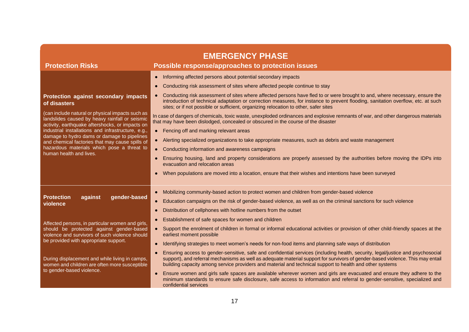| <b>Protection Risks</b>                                                                                                                               | <b>EMERGENCY PHASE</b><br>Possible response/approaches to protection issues                                                                                                                                                                                                                                                                                                   |  |
|-------------------------------------------------------------------------------------------------------------------------------------------------------|-------------------------------------------------------------------------------------------------------------------------------------------------------------------------------------------------------------------------------------------------------------------------------------------------------------------------------------------------------------------------------|--|
|                                                                                                                                                       | Informing affected persons about potential secondary impacts<br>$\bullet$                                                                                                                                                                                                                                                                                                     |  |
|                                                                                                                                                       | Conducting risk assessment of sites where affected people continue to stay<br>$\bullet$                                                                                                                                                                                                                                                                                       |  |
| Protection against secondary impacts<br>of disasters                                                                                                  | Conducting risk assessment of sites where affected persons have fled to or were brought to and, where necessary, ensure the<br>introduction of technical adaptation or correction measures, for instance to prevent flooding, sanitation overflow, etc. at such<br>sites; or if not possible or sufficient, organizing relocation to other, safer sites                       |  |
| (can include natural or physical impacts such as<br>landslides caused by heavy rainfall or seismic<br>activity, earthquake aftershocks, or impacts on | In case of dangers of chemicals, toxic waste, unexploded ordinances and explosive remnants of war, and other dangerous materials<br>that may have been dislodged, concealed or obscured in the course of the disaster                                                                                                                                                         |  |
| industrial installations and infrastructure, e.g.,                                                                                                    | • Fencing off and marking relevant areas                                                                                                                                                                                                                                                                                                                                      |  |
| damage to hydro dams or damage to pipelines<br>and chemical factories that may cause spills of                                                        | Alerting specialized organizations to take appropriate measures, such as debris and waste management<br>$\bullet$                                                                                                                                                                                                                                                             |  |
| hazardous materials which pose a threat to<br>human health and lives.                                                                                 | Conducting information and awareness campaigns<br>$\bullet$                                                                                                                                                                                                                                                                                                                   |  |
|                                                                                                                                                       | Ensuring housing, land and property considerations are properly assessed by the authorities before moving the IDPs into<br>$\bullet$<br>evacuation and relocation areas                                                                                                                                                                                                       |  |
|                                                                                                                                                       | When populations are moved into a location, ensure that their wishes and intentions have been surveyed                                                                                                                                                                                                                                                                        |  |
|                                                                                                                                                       | Mobilizing community-based action to protect women and children from gender-based violence<br>$\bullet$                                                                                                                                                                                                                                                                       |  |
| <b>Protection</b><br>against<br>gender-based<br>violence                                                                                              | Education campaigns on the risk of gender-based violence, as well as on the criminal sanctions for such violence<br>$\bullet$                                                                                                                                                                                                                                                 |  |
|                                                                                                                                                       | Distribution of cellphones with hotline numbers from the outset<br>$\bullet$                                                                                                                                                                                                                                                                                                  |  |
| Affected persons, in particular women and girls,<br>should be protected against gender-based<br>violence and survivors of such violence should        | Establishment of safe spaces for women and children                                                                                                                                                                                                                                                                                                                           |  |
|                                                                                                                                                       | Support the enrolment of children in formal or informal educational activities or provision of other child-friendly spaces at the<br>$\bullet$<br>earliest moment possible                                                                                                                                                                                                    |  |
| be provided with appropriate support.                                                                                                                 | Identifying strategies to meet women's needs for non-food items and planning safe ways of distribution<br>$\bullet$                                                                                                                                                                                                                                                           |  |
| During displacement and while living in camps,<br>women and children are often more susceptible                                                       | Ensuring access to gender-sensitive, safe and confidential services (including health, security, legal/justice and psychosocial<br>support), and referral mechanisms as well as adequate material support for survivors of gender-based violence. This may entail<br>building capacity among service providers and material and technical support to health and other systems |  |
| to gender-based violence.                                                                                                                             | Ensure women and girls safe spaces are available wherever women and girls are evacuated and ensure they adhere to the<br>$\bullet$<br>minimum standards to ensure safe disclosure, safe access to information and referral to gender-sensitive, specialized and<br>confidential services                                                                                      |  |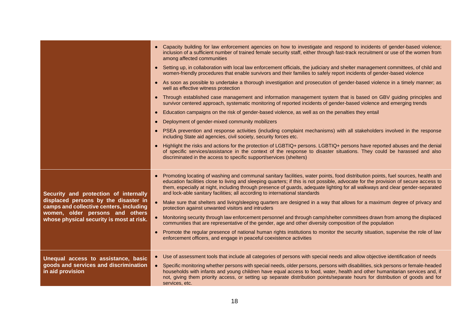|                                                                                                                                                                                                         | • Capacity building for law enforcement agencies on how to investigate and respond to incidents of gender-based violence;<br>inclusion of a sufficient number of trained female security staff, either through fast-track recruitment or use of the women from<br>among affected communities                                                                                                                                                                                                          |
|---------------------------------------------------------------------------------------------------------------------------------------------------------------------------------------------------------|-------------------------------------------------------------------------------------------------------------------------------------------------------------------------------------------------------------------------------------------------------------------------------------------------------------------------------------------------------------------------------------------------------------------------------------------------------------------------------------------------------|
|                                                                                                                                                                                                         | • Setting up, in collaboration with local law enforcement officials, the judiciary and shelter management committees, of child and<br>women-friendly procedures that enable survivors and their families to safely report incidents of gender-based violence                                                                                                                                                                                                                                          |
|                                                                                                                                                                                                         | • As soon as possible to undertake a thorough investigation and prosecution of gender-based violence in a timely manner; as<br>well as effective witness protection                                                                                                                                                                                                                                                                                                                                   |
|                                                                                                                                                                                                         | Through established case management and information management system that is based on GBV guiding principles and<br>$\bullet$<br>survivor centered approach, systematic monitoring of reported incidents of gender-based violence and emerging trends                                                                                                                                                                                                                                                |
|                                                                                                                                                                                                         | Education campaigns on the risk of gender-based violence, as well as on the penalties they entail<br>$\bullet$                                                                                                                                                                                                                                                                                                                                                                                        |
|                                                                                                                                                                                                         | Deployment of gender-mixed community mobilizers<br>$\bullet$                                                                                                                                                                                                                                                                                                                                                                                                                                          |
|                                                                                                                                                                                                         | PSEA prevention and response activities (including complaint mechanisms) with all stakeholders involved in the response<br>$\bullet$<br>including State aid agencies, civil society, security forces etc.                                                                                                                                                                                                                                                                                             |
|                                                                                                                                                                                                         | Highlight the risks and actions for the protection of LGBTIQ+ persons. LGBTIQ+ persons have reported abuses and the denial<br>$\bullet$<br>of specific services/assistance in the context of the response to disaster situations. They could be harassed and also<br>discriminated in the access to specific support/services (shelters)                                                                                                                                                              |
| Security and protection of internally<br>displaced persons by the disaster in<br>camps and collective centers, including<br>women, older persons and others<br>whose physical security is most at risk. | Promoting locating of washing and communal sanitary facilities, water points, food distribution points, fuel sources, health and<br>$\bullet$<br>education facilities close to living and sleeping quarters; if this is not possible, advocate for the provision of secure access to<br>them, especially at night, including through presence of guards, adequate lighting for all walkways and clear gender-separated<br>and lock-able sanitary facilities; all according to international standards |
|                                                                                                                                                                                                         | Make sure that shelters and living/sleeping quarters are designed in a way that allows for a maximum degree of privacy and<br>protection against unwanted visitors and intruders                                                                                                                                                                                                                                                                                                                      |
|                                                                                                                                                                                                         | Monitoring security through law enforcement personnel and through camp/shelter committees drawn from among the displaced<br>communities that are representative of the gender, age and other diversity composition of the population                                                                                                                                                                                                                                                                  |
|                                                                                                                                                                                                         | Promote the regular presence of national human rights institutions to monitor the security situation, supervise the role of law<br>$\bullet$<br>enforcement officers, and engage in peaceful coexistence activities                                                                                                                                                                                                                                                                                   |
| Unequal access to assistance, basic                                                                                                                                                                     | Use of assessment tools that include all categories of persons with special needs and allow objective identification of needs<br>$\bullet$                                                                                                                                                                                                                                                                                                                                                            |
| goods and services and discrimination<br>in aid provision                                                                                                                                               | Specific monitoring whether persons with special needs, older persons, persons with disabilities, sick persons or female-headed<br>$\bullet$<br>households with infants and young children have equal access to food, water, health and other humanitarian services and, if<br>not, giving them priority access, or setting up separate distribution points/separate hours for distribution of goods and for<br>services, etc.                                                                        |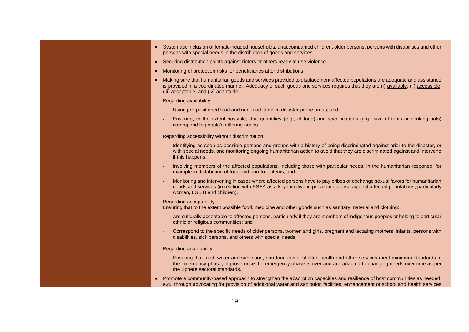- Systematic inclusion of female-headed households, unaccompanied children, older persons, persons with disabilities and other persons with special needs in the distribution of goods and services
- Securing distribution points against rioters or others ready to use violence
- Monitoring of protection risks for beneficiaries after distributions
- Making sure that humanitarian goods and services provided to displacement affected populations are adequate and assistance is provided in a coordinated manner. Adequacy of such goods and services requires that they are (i) available, (ii) accessible, (iii) acceptable, and (iv) adaptable

#### Regarding availability:

- Using pre-positioned food and non-food items in disaster-prone areas; and
- Ensuring, to the extent possible, that quantities (e.g., of food) and specifications (e.g., size of tents or cooking pots) correspond to people's differing needs.

#### Regarding accessibility without discrimination:

- Identifying as soon as possible persons and groups with a history of being discriminated against prior to the disaster, or with special needs, and monitoring ongoing humanitarian action to avoid that they are discriminated against and intervene if this happens.
- Involving members of the affected populations, including those with particular needs, in the humanitarian response, for example in distribution of food and non-food items; and
- Monitoring and intervening in cases where affected persons have to pay bribes or exchange sexual favors for humanitarian goods and services (in relation with PSEA as a key initiative in preventing abuse against affected populations, particularly women, LGBTI and children).

#### Regarding acceptability:

Ensuring that to the extent possible food, medicine and other goods such as sanitary material and clothing:

- Are culturally acceptable to affected persons, particularly if they are members of indigenous peoples or belong to particular ethnic or religious communities; and
- Correspond to the specific needs of older persons, women and girls, pregnant and lactating mothers, infants, persons with disabilities, sick persons, and others with special needs.

#### Regarding adaptability:

- Ensuring that food, water and sanitation, non-food items, shelter, health and other services meet minimum standards in the emergency phase, improve once the emergency phase is over and are adapted to changing needs over time as per the Sphere sectoral standards.
- Promote a community-based approach to strengthen the absorption capacities and resilience of host communities as needed, e.g., through advocating for provision of additional water and sanitation facilities, enhancement of school and health services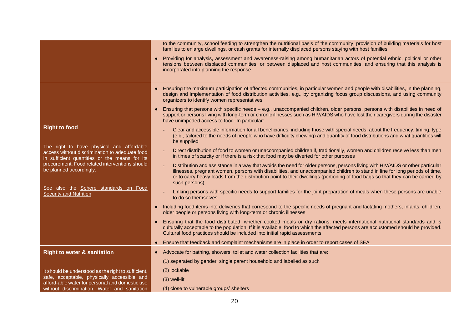|                                                                                                                                              |           | to the community, school feeding to strengthen the nutritional basis of the community, provision of building materials for host<br>families to enlarge dwellings, or cash grants for internally displaced persons staying with host families                                                                                                                                                                    |
|----------------------------------------------------------------------------------------------------------------------------------------------|-----------|-----------------------------------------------------------------------------------------------------------------------------------------------------------------------------------------------------------------------------------------------------------------------------------------------------------------------------------------------------------------------------------------------------------------|
|                                                                                                                                              |           | Providing for analysis, assessment and awareness-raising among humanitarian actors of potential ethnic, political or other<br>tensions between displaced communities, or between displaced and host communities, and ensuring that this analysis is<br>incorporated into planning the response                                                                                                                  |
|                                                                                                                                              | $\bullet$ | Ensuring the maximum participation of affected communities, in particular women and people with disabilities, in the planning,<br>design and implementation of food distribution activities, e.g., by organizing focus group discussions, and using community<br>organizers to identify women representatives                                                                                                   |
|                                                                                                                                              |           | Ensuring that persons with specific needs – e.g., unaccompanied children, older persons, persons with disabilities in need of<br>support or persons living with long-term or chronic illnesses such as HIV/AIDS who have lost their caregivers during the disaster<br>have unimpeded access to food. In particular:                                                                                             |
| <b>Right to food</b>                                                                                                                         |           | Clear and accessible information for all beneficiaries, including those with special needs, about the frequency, timing, type<br>(e.g., tailored to the needs of people who have difficulty chewing) and quantity of food distributions and what quantities will<br>be supplied                                                                                                                                 |
| The right to have physical and affordable<br>access without discrimination to adequate food<br>in sufficient quantities or the means for its |           | Direct distribution of food to women or unaccompanied children if, traditionally, women and children receive less than men<br>in times of scarcity or if there is a risk that food may be diverted for other purposes                                                                                                                                                                                           |
| procurement. Food related interventions should<br>be planned accordingly.                                                                    |           | Distribution and assistance in a way that avoids the need for older persons, persons living with HIV/AIDS or other particular<br>illnesses, pregnant women, persons with disabilities, and unaccompanied children to stand in line for long periods of time,<br>or to carry heavy loads from the distribution point to their dwellings (portioning of food bags so that they can be carried by<br>such persons) |
| See also the Sphere standards on Food<br><b>Security and Nutrition</b>                                                                       |           | Linking persons with specific needs to support families for the joint preparation of meals when these persons are unable<br>to do so themselves                                                                                                                                                                                                                                                                 |
|                                                                                                                                              | $\bullet$ | Including food items into deliveries that correspond to the specific needs of pregnant and lactating mothers, infants, children,<br>older people or persons living with long-term or chronic illnesses                                                                                                                                                                                                          |
|                                                                                                                                              | $\bullet$ | Ensuring that the food distributed, whether cooked meals or dry rations, meets international nutritional standards and is<br>culturally acceptable to the population. If it is available, food to which the affected persons are accustomed should be provided.<br>Cultural food practices should be included into initial rapid assessments                                                                    |
|                                                                                                                                              | $\bullet$ | Ensure that feedback and complaint mechanisms are in place in order to report cases of SEA                                                                                                                                                                                                                                                                                                                      |
| <b>Right to water &amp; sanitation</b>                                                                                                       | $\bullet$ | Advocate for bathing, showers, toilet and water collection facilities that are:                                                                                                                                                                                                                                                                                                                                 |
|                                                                                                                                              |           | (1) separated by gender, single parent household and labelled as such                                                                                                                                                                                                                                                                                                                                           |
| It should be understood as the right to sufficient,                                                                                          |           | (2) lockable                                                                                                                                                                                                                                                                                                                                                                                                    |
| safe, acceptable, physically accessible and<br>afford-able water for personal and domestic use                                               |           | $(3)$ well-lit                                                                                                                                                                                                                                                                                                                                                                                                  |
| without discrimination. Water and sanitation                                                                                                 |           | (4) close to vulnerable groups' shelters                                                                                                                                                                                                                                                                                                                                                                        |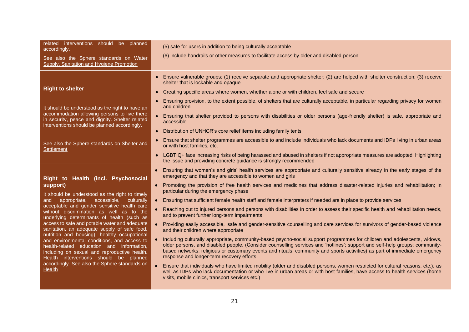| related interventions should be planned<br>accordingly.<br>See also the Sphere standards on Water<br>Supply, Sanitation and Hygiene Promotion                                                                                                                                                                                                                                                                                                                                                                                                                                                                                                                                 | (5) safe for users in addition to being culturally acceptable<br>(6) include handrails or other measures to facilitate access by older and disabled person                                                                                                                                                                                                                                                                                                                                                                                                                                                                                                                                                                                                                                                                                                                                                                                                                                                                                                                                                                                                                                                                                                                                                                                                                                                                            |
|-------------------------------------------------------------------------------------------------------------------------------------------------------------------------------------------------------------------------------------------------------------------------------------------------------------------------------------------------------------------------------------------------------------------------------------------------------------------------------------------------------------------------------------------------------------------------------------------------------------------------------------------------------------------------------|---------------------------------------------------------------------------------------------------------------------------------------------------------------------------------------------------------------------------------------------------------------------------------------------------------------------------------------------------------------------------------------------------------------------------------------------------------------------------------------------------------------------------------------------------------------------------------------------------------------------------------------------------------------------------------------------------------------------------------------------------------------------------------------------------------------------------------------------------------------------------------------------------------------------------------------------------------------------------------------------------------------------------------------------------------------------------------------------------------------------------------------------------------------------------------------------------------------------------------------------------------------------------------------------------------------------------------------------------------------------------------------------------------------------------------------|
| <b>Right to shelter</b><br>It should be understood as the right to have an<br>accommodation allowing persons to live there<br>in security, peace and dignity. Shelter related<br>interventions should be planned accordingly.                                                                                                                                                                                                                                                                                                                                                                                                                                                 | Ensure vulnerable groups: (1) receive separate and appropriate shelter; (2) are helped with shelter construction; (3) receive<br>$\bullet$<br>shelter that is lockable and opaque<br>Creating specific areas where women, whether alone or with children, feel safe and secure<br>$\bullet$<br>Ensuring provision, to the extent possible, of shelters that are culturally acceptable, in particular regarding privacy for women<br>$\bullet$<br>and children<br>• Ensuring that shelter provided to persons with disabilities or older persons (age-friendly shelter) is safe, appropriate and<br>accessible                                                                                                                                                                                                                                                                                                                                                                                                                                                                                                                                                                                                                                                                                                                                                                                                                         |
| See also the Sphere standards on Shelter and<br>Settlement                                                                                                                                                                                                                                                                                                                                                                                                                                                                                                                                                                                                                    | Distribution of UNHCR's core relief items including family tents<br>$\bullet$<br>Ensure that shelter programmes are accessible to and include individuals who lack documents and IDPs living in urban areas<br>$\bullet$<br>or with host families, etc.<br>LGBTIQ+ face increasing risks of being harassed and abused in shelters if not appropriate measures are adopted. Highlighting<br>$\bullet$<br>the issue and providing concrete guidance is strongly recommended                                                                                                                                                                                                                                                                                                                                                                                                                                                                                                                                                                                                                                                                                                                                                                                                                                                                                                                                                             |
| Right to Health (incl. Psychosocial<br>support)<br>It should be understood as the right to timely<br>and appropriate, accessible, culturally<br>acceptable and gender sensitive health care<br>without discrimination as well as to the<br>underlying determinants of health (such as<br>access to safe and potable water and adequate<br>sanitation, an adequate supply of safe food,<br>nutrition and housing), healthy occupational<br>and environmental conditions, and access to<br>health-related education and information,<br>including on sexual and reproductive health.<br>Health interventions should be planned<br>accordingly. See also the Sphere standards on | Ensuring that women's and girls' health services are appropriate and culturally sensitive already in the early stages of the<br>emergency and that they are accessible to women and girls<br>• Promoting the provision of free health services and medicines that address disaster-related injuries and rehabilitation; in<br>particular during the emergency phase<br>• Ensuring that sufficient female health staff and female interpreters if needed are in place to provide services<br>• Reaching out to injured persons and persons with disabilities in order to assess their specific health and rehabilitation needs,<br>and to prevent further long-term impairments<br>• Providing easily accessible, 'safe and gender-sensitive counselling and care services for survivors of gender-based violence<br>and their children where appropriate<br>• Including culturally appropriate, community-based psycho-social support programmes for children and adolescents, widows,<br>older persons, and disabled people. (Consider counselling services and 'hotlines'; support and self-help groups; community-<br>based networks: religious or customary events and rituals; community and sports activities) as part of immediate emergency<br>response and longer-term recovery efforts<br>• Ensure that individuals who have limited mobility (older and disabled persons, women restricted for cultural reasons, etc.), as |
| <b>Health</b>                                                                                                                                                                                                                                                                                                                                                                                                                                                                                                                                                                                                                                                                 | well as IDPs who lack documentation or who live in urban areas or with host families, have access to health services (home<br>visits, mobile clinics, transport services etc.)                                                                                                                                                                                                                                                                                                                                                                                                                                                                                                                                                                                                                                                                                                                                                                                                                                                                                                                                                                                                                                                                                                                                                                                                                                                        |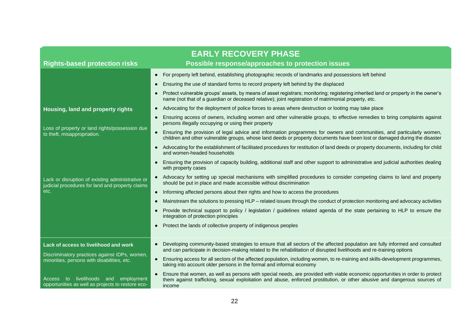| <b>EARLY RECOVERY PHASE</b>                                                                          |                                                                                                                                                                                                                                                                                   |
|------------------------------------------------------------------------------------------------------|-----------------------------------------------------------------------------------------------------------------------------------------------------------------------------------------------------------------------------------------------------------------------------------|
| <b>Rights-based protection risks</b>                                                                 | Possible response/approaches to protection issues                                                                                                                                                                                                                                 |
|                                                                                                      | • For property left behind, establishing photographic records of landmarks and possessions left behind                                                                                                                                                                            |
|                                                                                                      | Ensuring the use of standard forms to record property left behind by the displaced<br>$\bullet$                                                                                                                                                                                   |
|                                                                                                      | Protect vulnerable groups' assets, by means of asset registrars; monitoring; registering inherited land or property in the owner's<br>$\bullet$<br>name (not that of a guardian or deceased relative); joint registration of matrimonial property, etc.                           |
| Housing, land and property rights                                                                    | Advocating for the deployment of police forces to areas where destruction or looting may take place<br>$\bullet$                                                                                                                                                                  |
| Loss of property or land rights/possession due<br>to theft, misappropriation.                        | Ensuring access of owners, including women and other vulnerable groups, to effective remedies to bring complaints against<br>$\bullet$<br>persons illegally occupying or using their property                                                                                     |
|                                                                                                      | Ensuring the provision of legal advice and information programmes for owners and communities, and particularly women,<br>$\bullet$<br>children and other vulnerable groups, whose land deeds or property documents have been lost or damaged during the disaster                  |
|                                                                                                      | Advocating for the establishment of facilitated procedures for restitution of land deeds or property documents, including for child<br>$\bullet$<br>and women-headed households                                                                                                   |
|                                                                                                      | Ensuring the provision of capacity building, additional staff and other support to administrative and judicial authorities dealing<br>$\bullet$<br>with property cases                                                                                                            |
| Lack or disruption of existing administrative or<br>judicial procedures for land and property claims | Advocacy for setting up special mechanisms with simplified procedures to consider competing claims to land and property<br>$\bullet$<br>should be put in place and made accessible without discrimination                                                                         |
| etc.                                                                                                 | Informing affected persons about their rights and how to access the procedures<br>$\bullet$                                                                                                                                                                                       |
|                                                                                                      | Mainstream the solutions to pressing HLP - related issues through the conduct of protection monitoring and advocacy activities<br>$\bullet$                                                                                                                                       |
|                                                                                                      | Provide technical support to policy / legislation / guidelines related agenda of the state pertaining to HLP to ensure the<br>$\bullet$<br>integration of protection principles                                                                                                   |
|                                                                                                      | Protect the lands of collective property of indigenous peoples<br>$\bullet$                                                                                                                                                                                                       |
| Lack of access to livelihood and work                                                                | Developing community-based strategies to ensure that all sectors of the affected population are fully informed and consulted<br>$\bullet$<br>and can participate in decision-making related to the rehabilitation of disrupted livelihoods and re-training options                |
| Discriminatory practices against IDPs, women,<br>minorities, persons with disabilities, etc.         | Ensuring access for all sectors of the affected population, including women, to re-training and skills-development programmes,<br>$\bullet$<br>taking into account older persons in the formal and informal economy                                                               |
| livelihoods and employment<br>to to<br>Access<br>opportunities as well as projects to restore eco-   | Ensure that women, as well as persons with special needs, are provided with viable economic opportunities in order to protect<br>$\bullet$<br>them against trafficking, sexual exploitation and abuse, enforced prostitution, or other abusive and dangerous sources of<br>income |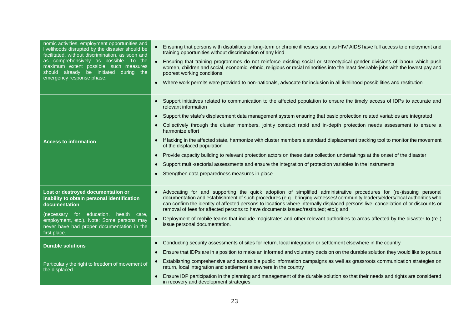| nomic activities, employment opportunities and<br>livelihoods disrupted by the disaster should be<br>facilitated, without discrimination, as soon and<br>as comprehensively as possible. To the<br>maximum extent possible, such measures<br>should already be initiated during the<br>emergency response phase. | Ensuring that persons with disabilities or long-term or chronic illnesses such as HIV/AIDS have full access to employment and<br>training opportunities without discrimination of any kind<br>Ensuring that training programmes do not reinforce existing social or stereotypical gender divisions of labour which push<br>women, children and social, economic, ethnic, religious or racial minorities into the least desirable jobs with the lowest pay and<br>poorest working conditions<br>Where work permits were provided to non-nationals, advocate for inclusion in all livelihood possibilities and restitution<br>$\bullet$ |
|------------------------------------------------------------------------------------------------------------------------------------------------------------------------------------------------------------------------------------------------------------------------------------------------------------------|---------------------------------------------------------------------------------------------------------------------------------------------------------------------------------------------------------------------------------------------------------------------------------------------------------------------------------------------------------------------------------------------------------------------------------------------------------------------------------------------------------------------------------------------------------------------------------------------------------------------------------------|
|                                                                                                                                                                                                                                                                                                                  | Support initiatives related to communication to the affected population to ensure the timely access of IDPs to accurate and<br>$\bullet$<br>relevant information                                                                                                                                                                                                                                                                                                                                                                                                                                                                      |
|                                                                                                                                                                                                                                                                                                                  | Support the state's displacement data management system ensuring that basic protection related variables are integrated<br>$\bullet$                                                                                                                                                                                                                                                                                                                                                                                                                                                                                                  |
| <b>Access to information</b>                                                                                                                                                                                                                                                                                     | Collectively through the cluster members, jointly conduct rapid and in-depth protection needs assessment to ensure a<br>harmonize effort                                                                                                                                                                                                                                                                                                                                                                                                                                                                                              |
|                                                                                                                                                                                                                                                                                                                  | If lacking in the affected state, harmonize with cluster members a standard displacement tracking tool to monitor the movement<br>of the displaced population                                                                                                                                                                                                                                                                                                                                                                                                                                                                         |
|                                                                                                                                                                                                                                                                                                                  | Provide capacity building to relevant protection actors on these data collection undertakings at the onset of the disaster                                                                                                                                                                                                                                                                                                                                                                                                                                                                                                            |
|                                                                                                                                                                                                                                                                                                                  | Support multi-sectorial assessments and ensure the integration of protection variables in the instruments                                                                                                                                                                                                                                                                                                                                                                                                                                                                                                                             |
|                                                                                                                                                                                                                                                                                                                  | Strengthen data preparedness measures in place<br>$\bullet$                                                                                                                                                                                                                                                                                                                                                                                                                                                                                                                                                                           |
| Lost or destroyed documentation or<br>inability to obtain personal identification<br>documentation                                                                                                                                                                                                               | Advocating for and supporting the quick adoption of simplified administrative procedures for (re-)issuing personal<br>$\bullet$<br>documentation and establishment of such procedures (e.g., bringing witnesses/community leaders/elders/local authorities who<br>can confirm the identity of affected persons to locations where internally displaced persons live; cancellation of or discounts or<br>removal of fees for affected persons to have documents issued/restituted; etc.); and                                                                                                                                          |
| (necessary for education, health care,<br>employment, etc.). Note: Some persons may<br>never have had proper documentation in the<br>first place.                                                                                                                                                                | Deployment of mobile teams that include magistrates and other relevant authorities to areas affected by the disaster to (re-)<br>issue personal documentation.                                                                                                                                                                                                                                                                                                                                                                                                                                                                        |
| <b>Durable solutions</b>                                                                                                                                                                                                                                                                                         | Conducting security assessments of sites for return, local integration or settlement elsewhere in the country<br>$\bullet$                                                                                                                                                                                                                                                                                                                                                                                                                                                                                                            |
|                                                                                                                                                                                                                                                                                                                  | Ensure that IDPs are in a position to make an informed and voluntary decision on the durable solution they would like to pursue<br>$\bullet$                                                                                                                                                                                                                                                                                                                                                                                                                                                                                          |
| Particularly the right to freedom of movement of<br>the displaced.                                                                                                                                                                                                                                               | Establishing comprehensive and accessible public information campaigns as well as grassroots communication strategies on<br>return, local integration and settlement elsewhere in the country                                                                                                                                                                                                                                                                                                                                                                                                                                         |
|                                                                                                                                                                                                                                                                                                                  | Ensure IDP participation in the planning and management of the durable solution so that their needs and rights are considered<br>$\bullet$<br>in recovery and development strategies                                                                                                                                                                                                                                                                                                                                                                                                                                                  |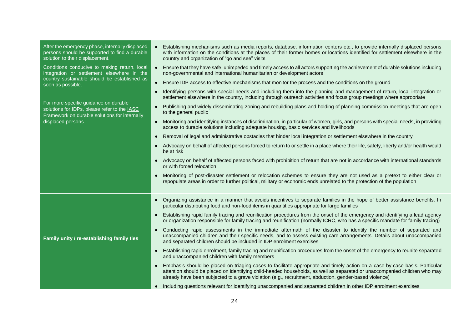| After the emergency phase, internally displaced<br>persons should be supported to find a durable<br>solution to their displacement.                             | Establishing mechanisms such as media reports, database, information centers etc., to provide internally displaced persons<br>with information on the conditions at the places of their former homes or locations identified for settlement elsewhere in the<br>country and organization of "go and see" visits                                                                 |
|-----------------------------------------------------------------------------------------------------------------------------------------------------------------|---------------------------------------------------------------------------------------------------------------------------------------------------------------------------------------------------------------------------------------------------------------------------------------------------------------------------------------------------------------------------------|
| Conditions conducive to making return, local<br>integration or settlement elsewhere in the<br>country sustainable should be established as<br>soon as possible. | Ensure that they have safe, unimpeded and timely access to all actors supporting the achievement of durable solutions including<br>$\bullet$<br>non-governmental and international humanitarian or development actors                                                                                                                                                           |
|                                                                                                                                                                 | Ensure IDP access to effective mechanisms that monitor the process and the conditions on the ground<br>$\bullet$                                                                                                                                                                                                                                                                |
|                                                                                                                                                                 | Identifying persons with special needs and including them into the planning and management of return, local integration or<br>$\bullet$<br>settlement elsewhere in the country, including through outreach activities and focus group meetings where appropriate                                                                                                                |
| For more specific guidance on durable<br>solutions for IDPs, please refer to the IASC<br>Framework on durable solutions for internally<br>displaced persons.    | Publishing and widely disseminating zoning and rebuilding plans and holding of planning commission meetings that are open<br>$\bullet$<br>to the general public                                                                                                                                                                                                                 |
|                                                                                                                                                                 | Monitoring and identifying instances of discrimination, in particular of women, girls, and persons with special needs, in providing<br>$\bullet$<br>access to durable solutions including adequate housing, basic services and livelihoods                                                                                                                                      |
|                                                                                                                                                                 | Removal of legal and administrative obstacles that hinder local integration or settlement elsewhere in the country<br>$\bullet$                                                                                                                                                                                                                                                 |
|                                                                                                                                                                 | Advocacy on behalf of affected persons forced to return to or settle in a place where their life, safety, liberty and/or health would<br>$\bullet$<br>be at risk                                                                                                                                                                                                                |
|                                                                                                                                                                 | Advocacy on behalf of affected persons faced with prohibition of return that are not in accordance with international standards<br>$\bullet$<br>or with forced relocation                                                                                                                                                                                                       |
|                                                                                                                                                                 | Monitoring of post-disaster settlement or relocation schemes to ensure they are not used as a pretext to either clear or<br>$\bullet$<br>repopulate areas in order to further political, military or economic ends unrelated to the protection of the population                                                                                                                |
|                                                                                                                                                                 | Organizing assistance in a manner that avoids incentives to separate families in the hope of better assistance benefits. In<br>$\bullet$<br>particular distributing food and non-food items in quantities appropriate for large families                                                                                                                                        |
| Family unity / re-establishing family ties                                                                                                                      | Establishing rapid family tracing and reunification procedures from the onset of the emergency and identifying a lead agency<br>$\bullet$<br>or organization responsible for family tracing and reunification (normally ICRC, who has a specific mandate for family tracing)                                                                                                    |
|                                                                                                                                                                 | Conducting rapid assessments in the immediate aftermath of the disaster to identify the number of separated and<br>$\bullet$<br>unaccompanied children and their specific needs, and to assess existing care arrangements. Details about unaccompanied<br>and separated children should be included in IDP enrolment exercises                                                  |
|                                                                                                                                                                 | Establishing rapid enrolment, family tracing and reunification procedures from the onset of the emergency to reunite separated<br>$\bullet$<br>and unaccompanied children with family members                                                                                                                                                                                   |
|                                                                                                                                                                 | Emphasis should be placed on triaging cases to facilitate appropriate and timely action on a case-by-case basis. Particular<br>$\bullet$<br>attention should be placed on identifying child-headed households, as well as separated or unaccompanied children who may<br>already have been subjected to a grave violation (e.g., recruitment, abduction, gender-based violence) |
|                                                                                                                                                                 | • Including questions relevant for identifying unaccompanied and separated children in other IDP enrolment exercises                                                                                                                                                                                                                                                            |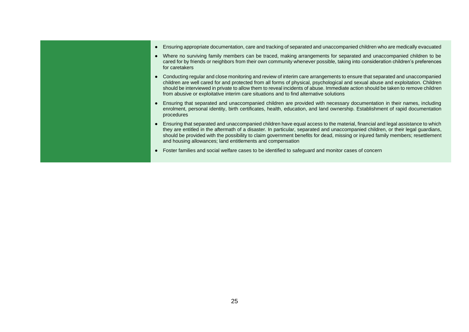- Ensuring appropriate documentation, care and tracking of separated and unaccompanied children who are medically evacuated
- Where no surviving family members can be traced, making arrangements for separated and unaccompanied children to be cared for by friends or neighbors from their own community whenever possible, taking into consideration children's preferences for caretakers
- Conducting regular and close monitoring and review of interim care arrangements to ensure that separated and unaccompanied children are well cared for and protected from all forms of physical, psychological and sexual abuse and exploitation. Children should be interviewed in private to allow them to reveal incidents of abuse. Immediate action should be taken to remove children from abusive or exploitative interim care situations and to find alternative solutions
- Ensuring that separated and unaccompanied children are provided with necessary documentation in their names, including enrolment, personal identity, birth certificates, health, education, and land ownership. Establishment of rapid documentation procedures
- Ensuring that separated and unaccompanied children have equal access to the material, financial and legal assistance to which they are entitled in the aftermath of a disaster. In particular, separated and unaccompanied children, or their legal guardians, should be provided with the possibility to claim government benefits for dead, missing or injured family members; resettlement and housing allowances; land entitlements and compensation
- Foster families and social welfare cases to be identified to safeguard and monitor cases of concern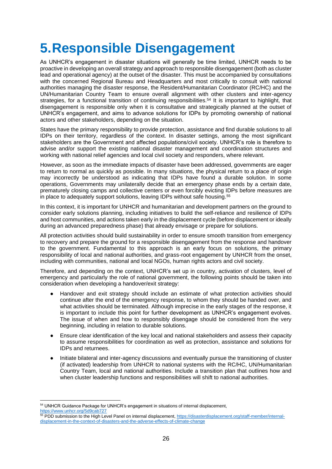# **5.Responsible Disengagement**

As UNHCR's engagement in disaster situations will generally be time limited, UNHCR needs to be proactive in developing an overall strategy and approach to responsible disengagement (both as cluster lead and operational agency) at the outset of the disaster. This must be accompanied by consultations with the concerned Regional Bureau and Headquarters and most critically to consult with national authorities managing the disaster response, the Resident/Humanitarian Coordinator (RC/HC) and the UN/Humanitarian Country Team to ensure overall alignment with other clusters and inter-agency strategies, for a functional transition of continuing responsibilities.<sup>54</sup> It is important to highlight, that disengagement is responsible only when it is consultative and strategically planned at the outset of UNHCR's engagement, and aims to advance solutions for IDPs by promoting ownership of national actors and other stakeholders, depending on the situation.

States have the primary responsibility to provide protection, assistance and find durable solutions to all IDPs on their territory, regardless of the context. In disaster settings, among the most significant stakeholders are the Government and affected populations/civil society. UNHCR's role is therefore to advise and/or support the existing national disaster management and coordination structures and working with national relief agencies and local civil society and responders, where relevant.

However, as soon as the immediate impacts of disaster have been addressed, governments are eager to return to normal as quickly as possible. In many situations, the physical return to a place of origin may incorrectly be understood as indicating that IDPs have found a durable solution. In some operations, Governments may unilaterally decide that an emergency phase ends by a certain date, prematurely closing camps and collective centers or even forcibly evicting IDPs before measures are in place to adequately support solutions, leaving IDPs without safe housing.<sup>55</sup>

In this context, it is important for UNHCR and humanitarian and development partners on the ground to consider early solutions planning, including initiatives to build the self-reliance and resilience of IDPs and host communities, and actions taken early in the displacement cycle (before displacement or ideally during an advanced preparedness phase) that already envisage or prepare for solutions.

All protection activities should build sustainability in order to ensure smooth transition from emergency to recovery and prepare the ground for a responsible disengagement from the response and handover to the government. Fundamental to this approach is an early focus on solutions, the primary responsibility of local and national authorities, and grass-root engagement by UNHCR from the onset, including with communities, national and local NGOs, human rights actors and civil society.

Therefore, and depending on the context, UNHCR's set up in country, activation of clusters, level of emergency and particularly the role of national government, the following points should be taken into consideration when developing a handover/exit strategy:

- Handover and exit strategy should include an estimate of what protection activities should continue after the end of the emergency response, to whom they should be handed over, and what activities should be terminated. Although imprecise in the early stages of the response, it is important to include this point for further development as UNHCR's engagement evolves. The issue of when and how to responsibly disengage should be considered from the very beginning, including in relation to durable solutions.
- Ensure clear identification of the key local and national stakeholders and assess their capacity to assume responsibilities for coordination as well as protection, assistance and solutions for IDPs and returnees.
- Initiate bilateral and inter-agency discussions and eventually pursue the transitioning of cluster (if activated) leadership from UNHCR to national systems with the RC/HC, UN/Humanitarian Country Team, local and national authorities. Include a transition plan that outlines how and when cluster leadership functions and responsibilities will shift to national authorities.

<sup>54</sup> UNHCR Guidance Package for UNHCR's engagement in situations of internal displacement, <https://www.unhcr.org/5d9cab727>

<sup>55</sup> PDD submission to the High Level Panel on internal displacement, [https://disasterdisplacement.org/staff-member/internal](https://disasterdisplacement.org/staff-member/internal-displacement-in-the-context-of-disasters-and-the-adverse-effects-of-climate-change)[displacement-in-the-context-of-disasters-and-the-adverse-effects-of-climate-change](https://disasterdisplacement.org/staff-member/internal-displacement-in-the-context-of-disasters-and-the-adverse-effects-of-climate-change)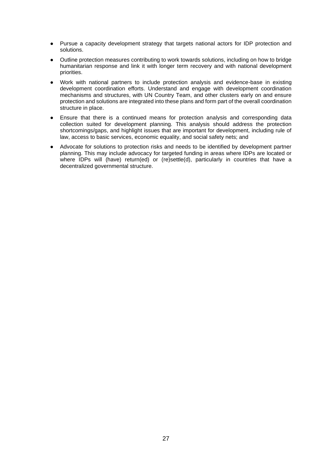- Pursue a capacity development strategy that targets national actors for IDP protection and solutions.
- Outline protection measures contributing to work towards solutions, including on how to bridge humanitarian response and link it with longer term recovery and with national development priorities.
- Work with national partners to include protection analysis and evidence-base in existing development coordination efforts. Understand and engage with development coordination mechanisms and structures, with UN Country Team, and other clusters early on and ensure protection and solutions are integrated into these plans and form part of the overall coordination structure in place.
- Ensure that there is a continued means for protection analysis and corresponding data collection suited for development planning. This analysis should address the protection shortcomings/gaps, and highlight issues that are important for development, including rule of law, access to basic services, economic equality, and social safety nets; and
- Advocate for solutions to protection risks and needs to be identified by development partner planning. This may include advocacy for targeted funding in areas where IDPs are located or where IDPs will (have) return(ed) or (re)settle(d), particularly in countries that have a decentralized governmental structure.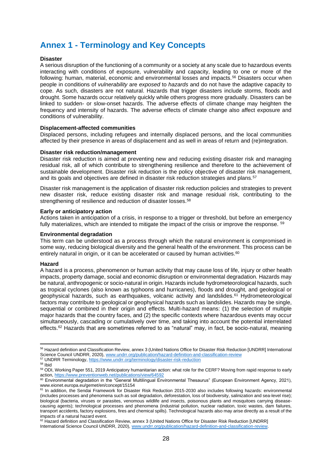# **Annex 1 - Terminology and Key Concepts**

### **Disaster**

A serious disruption of the functioning of a community or a society at any scale due to hazardous events interacting with conditions of exposure, vulnerability and capacity, leading to one or more of the following: human, material, economic and environmental losses and impacts.<sup>56</sup> Disasters occur when people in conditions of *vulnerability* are *exposed* to *hazards* and do not have the adaptive capacity to cope. As such, disasters are not natural. Hazards that trigger disasters include storms, floods and drought. Some hazards occur relatively quickly while others progress more gradually. Disasters can be linked to sudden- or slow-onset hazards. The adverse effects of climate change may heighten the frequency and intensity of hazards. The adverse effects of climate change also affect exposure and conditions of vulnerability.

#### **Displacement-affected communities**

Displaced persons, including refugees and internally displaced persons, and the local communities affected by their presence in areas of displacement and as well in areas of return and (re)integration.

#### **Disaster risk reduction/management**

Disaster risk reduction is aimed at preventing new and reducing existing disaster risk and managing residual risk, all of which contribute to strengthening resilience and therefore to the achievement of sustainable development. Disaster risk reduction is the policy objective of disaster risk management, and its goals and objectives are defined in disaster risk reduction strategies and plans.<sup>57</sup>

Disaster risk management is the application of disaster risk reduction policies and strategies to prevent new disaster risk, reduce existing disaster risk and manage residual risk, contributing to the strengthening of resilience and reduction of disaster losses.<sup>58</sup>

#### **Early or anticipatory action**

Actions taken in anticipation of a crisis, in response to a trigger or threshold, but before an emergency fully materializes, which are intended to mitigate the impact of the crisis or improve the response. <sup>59</sup>

#### **Environmental degradation**

This term can be understood as a process through which the natural environment is compromised in some way, reducing biological diversity and the general health of the environment. This process can be entirely natural in origin, or it can be accelerated or caused by human activities. $60$ 

#### **Hazard**

A hazard is a process, phenomenon or human activity that may cause loss of life, injury or other health impacts, property damage, social and economic disruption or environmental degradation. Hazards may be natural, anthropogenic or socio-natural in origin. Hazards include hydrometeorological hazards, such as tropical cyclones (also known as typhoons and hurricanes), floods and drought, and geological or geophysical hazards, such as earthquakes, volcanic activity and landslides.<sup>61</sup> Hydrometeorological factors may contribute to geological or geophysical hazards such as landslides. Hazards may be single, sequential or combined in their origin and effects. Multi-hazard means: (1) the selection of multiple major hazards that the country faces, and (2) the specific contexts where hazardous events may occur simultaneously, cascading or cumulatively over time, and taking into account the potential interrelated effects.<sup>62</sup> Hazards that are sometimes referred to as "natural" may, in fact, be socio-natural, meaning

<sup>56</sup> Hazard definition and Classification Review, annex 3 (United Nations Office for Disaster Risk Reduction [UNDRR] International Science Council UNDRR, 2020), [www.undrr.org/publication/hazard-definition-and-classification-review](http://www.undrr.org/publication/hazard-definition-and-classification-review)

<sup>&</sup>lt;sup>57</sup> UNDRR Terminology[, https://www.undrr.org/terminology/disaster-risk-reduction](https://www.undrr.org/terminology/disaster-risk-reduction)

<sup>58</sup> Ibid

<sup>&</sup>lt;sup>59</sup> ODI, Working Paper 551, 2019 Anticipatory humanitarian action: what role for the CERF? Moving from rapid response to early action,<https://www.preventionweb.net/publications/view/64592>

<sup>60</sup> Environmental degradation in the "General Multilingual Environmental Thesaurus" (European Environment Agency, 2021), [www.eionet.europa.eu/gemet/en/concept/15154](http://www.eionet.europa.eu/gemet/en/concept/15154) 

 $61$  In addition, the Sendai Framework for Disaster Risk Reduction 2015-2030 also includes following hazards: environmental (includes processes and phenomena such as soil degradation, deforestation, loss of biodiversity, salinization and sea-level rise); biological (bacteria, viruses or parasites, venomous wildlife and insects, poisonous plants and mosquitoes carrying diseasecausing agents); technological processes and phenomena (industrial pollution, nuclear radiation, toxic wastes, dam failures, transport accidents, factory explosions, fires and chemical spills). Technological hazards also may arise directly as a result of the impacts of a natural hazard event.

<sup>62</sup> Hazard definition and Classification Review, annex 3 (United Nations Office for Disaster Risk Reduction [UNDRR] International Science Council UNDRR, 2020), [www.undrr.org/publication/hazard-definition-and-classification-review.](http://www.undrr.org/publication/hazard-definition-and-classification-review)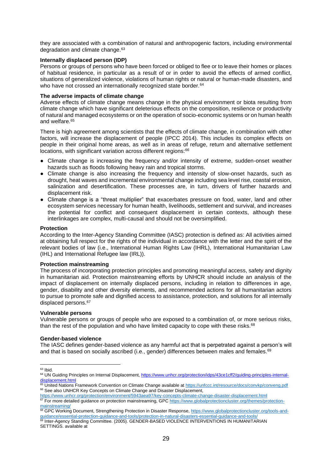they are associated with a combination of natural and anthropogenic factors, including environmental degradation and climate change.<sup>63</sup>

## **Internally displaced person (IDP)**

Persons or groups of persons who have been forced or obliged to flee or to leave their homes or places of habitual residence, in particular as a result of or in order to avoid the effects of armed conflict, situations of generalized violence, violations of human rights or natural or human-made disasters, and who have not crossed an internationally recognized state border.<sup>64</sup>

## **The adverse impacts of climate change**

Adverse effects of climate change means change in the physical environment or biota resulting from climate change which have significant deleterious effects on the composition, resilience or productivity of natural and managed ecosystems or on the operation of socio-economic systems or on human health and welfare.<sup>65</sup>

There is high agreement among scientists that the effects of climate change, in combination with other factors, will increase the displacement of people (IPCC 2014). This includes its complex effects on people in their original home areas, as well as in areas of refuge, return and alternative settlement locations, with significant variation across different regions:<sup>66</sup>

- Climate change is increasing the frequency and/or intensity of extreme, sudden-onset weather hazards such as floods following heavy rain and tropical storms.
- Climate change is also increasing the frequency and intensity of slow-onset hazards, such as drought, heat waves and incremental environmental change including sea level rise, coastal erosion, salinization and desertification. These processes are, in turn, drivers of further hazards and displacement risk.
- Climate change is a "threat multiplier" that exacerbates pressure on food, water, land and other ecosystem services necessary for human health, livelihoods, settlement and survival, and increases the potential for conflict and consequent displacement in certain contexts, although these interlinkages are complex, multi-causal and should not be oversimplified.

## **Protection**

According to the Inter-Agency Standing Committee (IASC) protection is defined as: All activities aimed at obtaining full respect for the rights of the individual in accordance with the letter and the spirit of the relevant bodies of law (i.e., International Human Rights Law (IHRL), International Humanitarian Law (IHL) and International Refugee law (IRL)).

## **Protection mainstreaming**

The process of incorporating protection principles and promoting meaningful access, safety and dignity in humanitarian aid. Protection mainstreaming efforts by UNHCR should include an analysis of the impact of displacement on internally displaced persons, including in relation to differences in age, gender, disability and other diversity elements, and recommended actions for all humanitarian actors to pursue to promote safe and dignified access to assistance, protection, and solutions for all internally displaced persons.<sup>67</sup>

## **Vulnerable persons**

Vulnerable persons or groups of people who are exposed to a combination of, or more serious risks, than the rest of the population and who have limited capacity to cope with these risks.<sup>68</sup>

## **Gender-based violence**

The IASC defines gender-based violence as any harmful act that is perpetrated against a person's will and that is based on socially ascribed (i.e., gender) differences between males and females.<sup>69</sup>

 $63$  Ibid.

<sup>64</sup> UN Guiding Principles on Internal Displacement, [https://www.unhcr.org/protection/idps/43ce1cff2/guiding-principles-internal](https://www.unhcr.org/protection/idps/43ce1cff2/guiding-principles-internal-displacement.html)[displacement.html](https://www.unhcr.org/protection/idps/43ce1cff2/guiding-principles-internal-displacement.html)

<sup>65</sup> United Nations Framework Convention on Climate Change available at<https://unfccc.int/resource/docs/convkp/conveng.pdf> <sup>66</sup> See also UNHCR Key Concepts on Climate Change and Disaster Displacement,

<https://www.unhcr.org/protection/environment/5943aea97/key-concepts-climate-change-disaster-displacement.html>

<sup>&</sup>lt;sup>67</sup> For more detailed guidance on protection mainstreaming, GP[C https://www.globalprotectioncluster.org/themes/protection](https://www.globalprotectioncluster.org/themes/protection-mainstreaming/)[mainstreaming/](https://www.globalprotectioncluster.org/themes/protection-mainstreaming/)

<sup>68</sup> GPC Working Document, Strengthening Protection in Disaster Response[, https://www.globalprotectioncluster.org/tools-and](https://www.globalprotectioncluster.org/tools-and-guidance/essential-protection-guidance-and-tools/protection-in-natural-disasters-essential-guidance-and-tools/)[guidance/essential-protection-guidance-and-tools/protection-in-natural-disasters-essential-guidance-and-tools/](https://www.globalprotectioncluster.org/tools-and-guidance/essential-protection-guidance-and-tools/protection-in-natural-disasters-essential-guidance-and-tools/)

<sup>69</sup> Inter-Agency Standing Committee. (2005). GENDER-BASED VIOLENCE INTERVENTIONS IN HUMANITARIAN SETTINGS. available at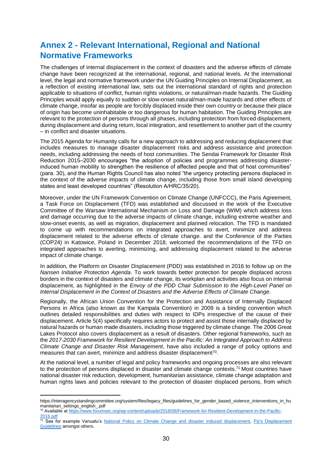# **Annex 2 - Relevant International, Regional and National Normative Frameworks**

The challenges of internal displacement in the context of disasters and the adverse effects of climate change have been recognized at the international, regional, and national levels. At the international level, the legal and normative framework under the UN Guiding Principles on Internal Displacement, as a reflection of existing international law, sets out the international standard of rights and protection applicable to situations of conflict, human rights violations, or natural/man-made hazards. The Guiding Principles would apply equally to sudden or slow-onset natural/man-made hazards and other effects of climate change, insofar as people are forcibly displaced inside their own country or because their place of origin has become uninhabitable or too dangerous for human habitation. The Guiding Principles are relevant to the protection of persons through all phases, including protection from forced displacement, during displacement and during return, local integration, and resettlement to another part of the country – in conflict and disaster situations.

The 2015 Agenda for Humanity calls for a new approach to addressing and reducing displacement that includes measures to manage disaster displacement risks and address assistance and protection needs, including addressing the needs of host communities. The Sendai Framework for Disaster Risk Reduction 2015–2030 encourages "the adoption of policies and programmes addressing disasterinduced human mobility to strengthen the resilience of affected people and that of host communities" (para. 30), and the Human Rights Council has also noted "the urgency protecting persons displaced in the context of the adverse impacts of climate change, including those from small island developing states and least developed countries" (Resolution A/HRC/35/20).

Moreover, under the UN Framework Convention on Climate Change (UNFCCC), the Paris Agreement, a Task Force on Displacement (TFD) was established and discussed in the work of the Executive Committee of the Warsaw International Mechanism on Loss and Damage (WIM) which address loss and damage occurring due to the adverse impacts of climate change, including extreme weather and slow-onset events, as well as migration, displacement and planned relocation. The TFD is mandated to come up with recommendations on integrated approaches to avert, minimize and address displacement related to the adverse effects of climate change. and the Conference of the Parties (COP24) in Katowice, Poland in December 2018, welcomed the recommendations of the TFD on integrated approaches to averting, minimizing, and addressing displacement related to the adverse impact of climate change.

In addition, the Platform on Disaster Displacement (PDD) was established in 2016 to follow up on the *Nansen Initiative Protection Agenda*. To work towards better protection for people displaced across borders in the context of disasters and climate change, its workplan and activities also focus on internal displacement, as highlighted in the *Envoy of the PDD Chair Submission to the High-Level Panel on Internal Displacement in the Context of Disasters and the Adverse Effects of Climate Change.*

Regionally, the African Union Convention for the Protection and Assistance of Internally Displaced Persons in Africa (also known as the Kampala Convention) in 2009 is a binding convention which outlines detailed responsibilities and duties with respect to IDPs irrespective of the cause of their displacement. Article 5(4) specifically requires actors to protect and assist those internally displaced by natural hazards or human made disasters, including those triggered by climate change. The 2006 Great Lakes Protocol also covers displacement as a result of disasters. Other regional frameworks, such as the *2017-2030 Framework for Resilient Development in the Pacific: An Integrated Approach to Address Climate Change and Disaster Risk Management*, have also included a range of policy options and measures that can avert, minimize and address disaster displacement<sup>70</sup>.

At the national level, a number of legal and policy frameworks and ongoing processes are also relevant to the protection of persons displaced in disaster and climate change contexts.<sup>71</sup> Most countries have national disaster risk reduction, development, humanitarian assistance, climate change adaptation and human rights laws and policies relevant to the protection of disaster displaced persons, from which

https://interagencystandingcommittee.org/system/files/legacy\_files/guidelines\_for\_gender\_based\_violence\_interventions\_in\_hu manitarian\_settings\_english\_.pdf

<sup>70</sup> Available a[t https://www.forumsec.org/wp-content/uploads/2018/06/Framework-for-Resilient-Development-in-the-Pacific-](https://www.forumsec.org/wp-content/uploads/2018/06/Framework-for-Resilient-Development-in-the-Pacific-2016.pdf)[2016.pdf](https://www.forumsec.org/wp-content/uploads/2018/06/Framework-for-Resilient-Development-in-the-Pacific-2016.pdf)

<sup>&</sup>lt;sup>71</sup> See for example Vanuatu's National Policy on Climate [Change and disaster induced displacement,](https://www.iom.int/sites/default/files/press_release/file/iom-vanuatu-policy-climate-change-disaster-induced-displacement-2018.pdf) Fiji's Displacement [Guidelines](https://www.sprep.org/news/fijis-displacement-guidelines-launched-at-the-moana-blue-pacific-pavilion) amongst others.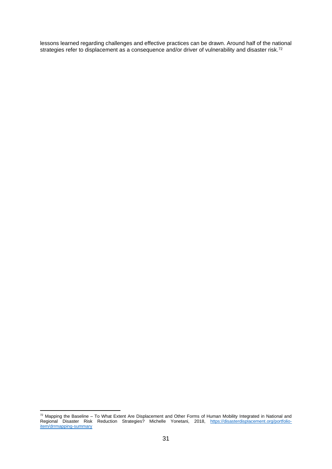lessons learned regarding challenges and effective practices can be drawn. Around half of the national strategies refer to displacement as a consequence and/or driver of vulnerability and disaster risk.<sup>72</sup>

 $72$  Mapping the Baseline – To What Extent Are Displacement and Other Forms of Human Mobility Integrated in National and Regional Disaster Risk Reduction Strategies? Michelle Yonetani, 2018, [https://disasterdisplacement.org/portfolio](https://disasterdisplacement.org/portfolio-item/drrmapping-summary)[item/drrmapping-summary](https://disasterdisplacement.org/portfolio-item/drrmapping-summary)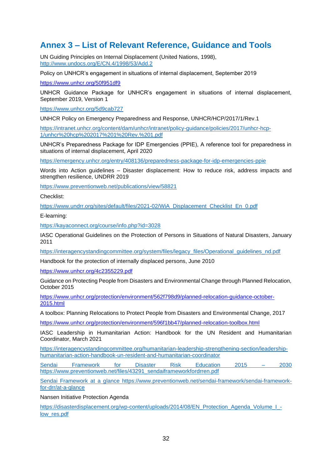# **Annex 3 – List of Relevant Reference, Guidance and Tools**

UN Guiding Principles on Internal Displacement (United Nations, 1998), <http://www.undocs.org/E/CN.4/1998/53/Add.2>

Policy on UNHCR's engagement in situations of internal displacement, September 2019

<https://www.unhcr.org/50f951df9>

UNHCR Guidance Package for UNHCR's engagement in situations of internal displacement, September 2019, Version 1

<https://www.unhcr.org/5d9cab727>

UNHCR Policy on Emergency Preparedness and Response, UNHCR/HCP/2017/1/Rev.1

[https://intranet.unhcr.org/content/dam/unhcr/intranet/policy-guidance/policies/2017/unhcr-hcp-](https://intranet.unhcr.org/content/dam/unhcr/intranet/policy-guidance/policies/2017/unhcr-hcp-1/unhcr%20hcp%202017%201%20Rev.%201.pdf)[1/unhcr%20hcp%202017%201%20Rev.%201.pdf](https://intranet.unhcr.org/content/dam/unhcr/intranet/policy-guidance/policies/2017/unhcr-hcp-1/unhcr%20hcp%202017%201%20Rev.%201.pdf)

UNHCR's Preparedness Package for IDP Emergencies (PPIE), A reference tool for preparedness in situations of internal displacement, April 2020

<https://emergency.unhcr.org/entry/408136/preparedness-package-for-idp-emergencies-ppie>

Words into Action guidelines – Disaster displacement: How to reduce risk, address impacts and strengthen resilience, UNDRR 2019

<https://www.preventionweb.net/publications/view/58821>

Checklist:

[https://www.undrr.org/sites/default/files/2021-02/WiA\\_Displacement\\_Checklist\\_En\\_0.pdf](https://www.undrr.org/sites/default/files/2021-02/WiA_Displacement_Checklist_En_0.pdf)

E-learning:

<https://kayaconnect.org/course/info.php?id=3028>

IASC Operational Guidelines on the Protection of Persons in Situations of Natural Disasters, January 2011

[https://interagencystandingcommittee.org/system/files/legacy\\_files/Operational\\_guidelines\\_nd.pdf](https://interagencystandingcommittee.org/system/files/legacy_files/Operational_guidelines_nd.pdf)

Handbook for the protection of internally displaced persons, June 2010

<https://www.unhcr.org/4c2355229.pdf>

Guidance on Protecting People from Disasters and Environmental Change through Planned Relocation, October 2015

[https://www.unhcr.org/protection/environment/562f798d9/planned-relocation-guidance-october-](https://www.unhcr.org/protection/environment/562f798d9/planned-relocation-guidance-october-2015.html)[2015.html](https://www.unhcr.org/protection/environment/562f798d9/planned-relocation-guidance-october-2015.html)

A toolbox: Planning Relocations to Protect People from Disasters and Environmental Change, 2017

<https://www.unhcr.org/protection/environment/596f1bb47/planned-relocation-toolbox.html>

IASC Leadership in Humanitarian Action: Handbook for the UN Resident and Humanitarian Coordinator, March 2021

[https://interagencystandingcommittee.org/humanitarian-leadership-strengthening-section/leadership](https://interagencystandingcommittee.org/humanitarian-leadership-strengthening-section/leadership-humanitarian-action-handbook-un-resident-and-humanitarian-coordinator)[humanitarian-action-handbook-un-resident-and-humanitarian-coordinator](https://interagencystandingcommittee.org/humanitarian-leadership-strengthening-section/leadership-humanitarian-action-handbook-un-resident-and-humanitarian-coordinator)

Sendai Framework for Disaster Risk Education 2015 – 2030 [https://www.preventionweb.net/files/43291\\_sendaiframeworkfordrren.pdf](https://www.preventionweb.net/files/43291_sendaiframeworkfordrren.pdf)

Sendai Framework at a glance https://www.preventionweb.net/sendai-framework/sendai-frameworkfor-drr/at-a-glance

Nansen Initiative Protection Agenda

[https://disasterdisplacement.org/wp-content/uploads/2014/08/EN\\_Protection\\_Agenda\\_Volume\\_I\\_](https://disasterdisplacement.org/wp-content/uploads/2014/08/EN_Protection_Agenda_Volume_I_-low_res.pdf) [low\\_res.pdf](https://disasterdisplacement.org/wp-content/uploads/2014/08/EN_Protection_Agenda_Volume_I_-low_res.pdf)